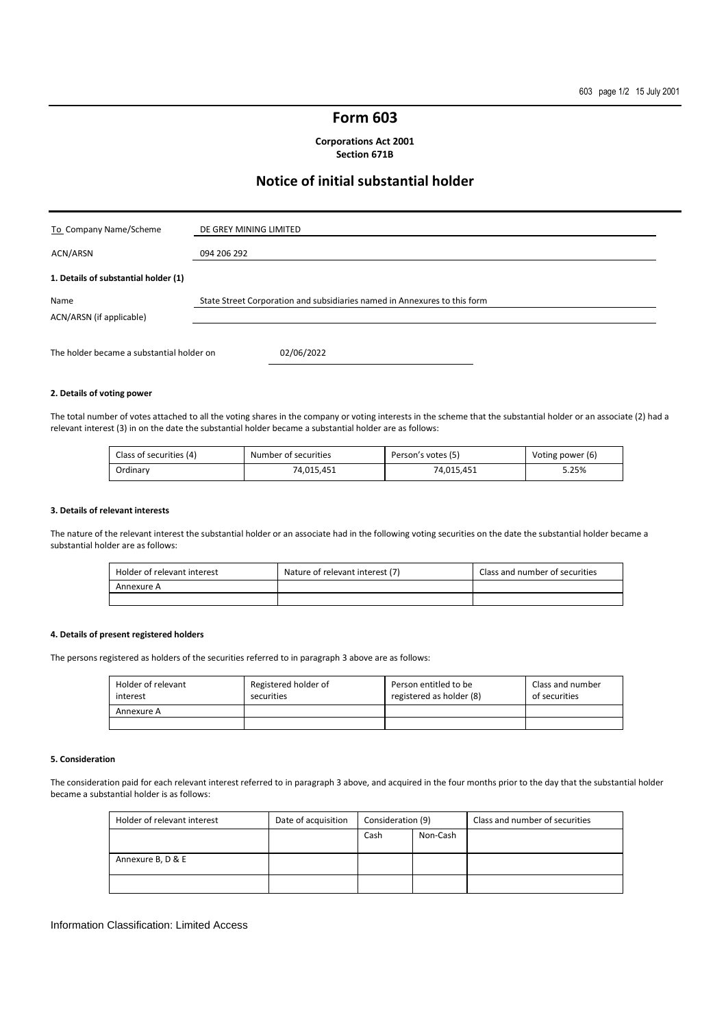## **Form 603**

**Corporations Act 2001 Section 671B** 

# **Notice of initial substantial holder**

| To Company Name/Scheme                    | DE GREY MINING LIMITED                                                    |
|-------------------------------------------|---------------------------------------------------------------------------|
| ACN/ARSN                                  | 094 206 292                                                               |
| 1. Details of substantial holder (1)      |                                                                           |
| Name<br>ACN/ARSN (if applicable)          | State Street Corporation and subsidiaries named in Annexures to this form |
| The holder became a substantial holder on | 02/06/2022                                                                |

### **2. Details of voting power**

The total number of votes attached to all the voting shares in the company or voting interests in the scheme that the substantial holder or an associate (2) had a relevant interest (3) in on the date the substantial holder became a substantial holder are as follows:

| Class of securities (4) | Number of securities | Person's votes (5) | Voting power (6) |
|-------------------------|----------------------|--------------------|------------------|
| Ordinary                | 74.015.451           | 74.015.451         | 5.25%            |

#### **3. Details of relevant interests**

The nature of the relevant interest the substantial holder or an associate had in the following voting securities on the date the substantial holder became a substantial holder are as follows:

| Holder of relevant interest | Nature of relevant interest (7) | Class and number of securities |
|-----------------------------|---------------------------------|--------------------------------|
| Annexure A                  |                                 |                                |
|                             |                                 |                                |

## **4. Details of present registered holders**

The persons registered as holders of the securities referred to in paragraph 3 above are as follows:

| Holder of relevant<br>interest | Registered holder of<br>securities | Person entitled to be<br>registered as holder (8) | Class and number<br>of securities |
|--------------------------------|------------------------------------|---------------------------------------------------|-----------------------------------|
| Annexure A                     |                                    |                                                   |                                   |
|                                |                                    |                                                   |                                   |

#### **5. Consideration**

The consideration paid for each relevant interest referred to in paragraph 3 above, and acquired in the four months prior to the day that the substantial holder became a substantial holder is as follows:

| Holder of relevant interest | Date of acquisition | Consideration (9) |          |  |  | Class and number of securities |
|-----------------------------|---------------------|-------------------|----------|--|--|--------------------------------|
|                             |                     | Cash              | Non-Cash |  |  |                                |
|                             |                     |                   |          |  |  |                                |
| Annexure B, D & E           |                     |                   |          |  |  |                                |
|                             |                     |                   |          |  |  |                                |

#### Information Classification: Limited Access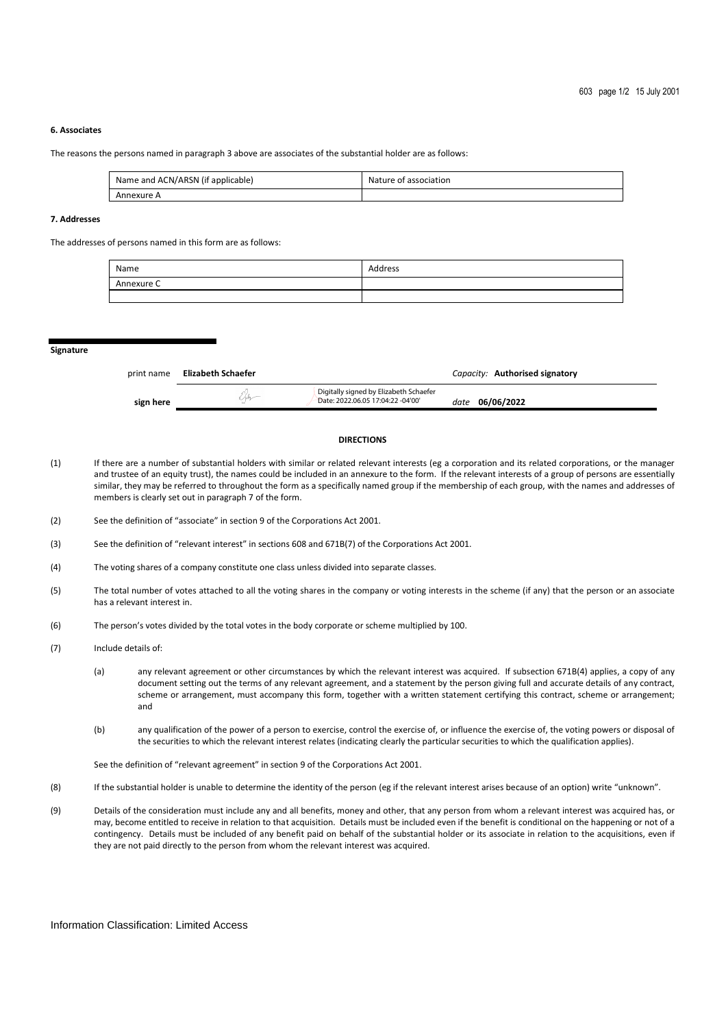## **6. Associates**

The reasons the persons named in paragraph 3 above are associates of the substantial holder are as follows:

| Name and ACN/ARSN (if applicable) | Nature of association |
|-----------------------------------|-----------------------|
| Annexure A                        |                       |

## **7. Addresses**

The addresses of persons named in this form are as follows:

| Name       | Address |
|------------|---------|
| Annexure C |         |
|            |         |

**Signature** 

| print name | Elizabeth Schaefer |                                                                             | Capacity: Authorised signatory |
|------------|--------------------|-----------------------------------------------------------------------------|--------------------------------|
| sign here  |                    | Digitally signed by Elizabeth Schaefer<br>Date: 2022.06.05 17:04:22 -04'00' | date 06/06/2022                |

#### **DIRECTIONS**

- (1) If there are a number of substantial holders with similar or related relevant interests (eg a corporation and its related corporations, or the manager and trustee of an equity trust), the names could be included in an annexure to the form. If the relevant interests of a group of persons are essentially similar, they may be referred to throughout the form as a specifically named group if the membership of each group, with the names and addresses of members is clearly set out in paragraph 7 of the form.
- (2) See the definition of "associate" in section 9 of the Corporations Act 2001.
- (3) See the definition of "relevant interest" in sections 608 and 671B(7) of the Corporations Act 2001.
- (4) The voting shares of a company constitute one class unless divided into separate classes.
- (5) The total number of votes attached to all the voting shares in the company or voting interests in the scheme (if any) that the person or an associate has a relevant interest in.
- (6) The person's votes divided by the total votes in the body corporate or scheme multiplied by 100.
- (7) Include details of:
	- (a) any relevant agreement or other circumstances by which the relevant interest was acquired. If subsection 671B(4) applies, a copy of any document setting out the terms of any relevant agreement, and a statement by the person giving full and accurate details of any contract, scheme or arrangement, must accompany this form, together with a written statement certifying this contract, scheme or arrangement; and
	- (b) any qualification of the power of a person to exercise, control the exercise of, or influence the exercise of, the voting powers or disposal of the securities to which the relevant interest relates (indicating clearly the particular securities to which the qualification applies).

See the definition of "relevant agreement" in section 9 of the Corporations Act 2001.

- (8) If the substantial holder is unable to determine the identity of the person (eg if the relevant interest arises because of an option) write "unknown".
- (9) Details of the consideration must include any and all benefits, money and other, that any person from whom a relevant interest was acquired has, or may, become entitled to receive in relation to that acquisition. Details must be included even if the benefit is conditional on the happening or not of a contingency. Details must be included of any benefit paid on behalf of the substantial holder or its associate in relation to the acquisitions, even if they are not paid directly to the person from whom the relevant interest was acquired.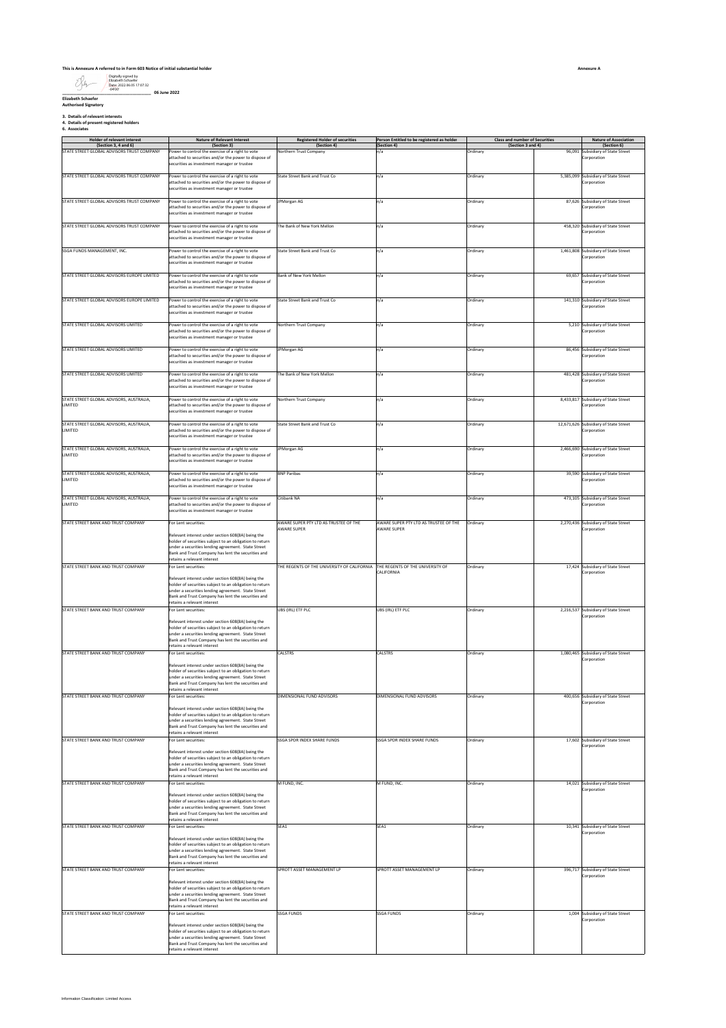# **This is Annexure A referred to in Form 603 Notice of initial substantial holder**

Digitally signed by Elizabeth Schaefer Date: 2022.06.05 17:07:32 -04'00'

**\_\_\_\_\_\_\_\_\_\_\_\_\_\_\_\_\_\_\_\_\_\_\_\_\_\_\_\_\_\_\_\_\_\_\_\_\_\_ 06 June 2022 Elizabeth Schaefer Authorised Signatory**

**3. Details of relevant interests 4. Details of present registered holders 6. Associates**

| <b>U. ASSULIQUES</b><br>. |  |  |
|---------------------------|--|--|
|                           |  |  |
|                           |  |  |

| <b>Holder of relevant interest</b><br>(Section 3, 4 and 6) | <b>Nature of Relevant Interest</b><br>(Section 3)                                                                                                                                                                                                       | <b>Registered Holder of securities</b><br>(Section 4)                        | Person Entitled to be registered as holder<br>(Section 4) | <b>Class and number of Securities</b><br>(Section 3 and 4) |           | <b>Nature of Association</b><br>(Section 6)          |
|------------------------------------------------------------|---------------------------------------------------------------------------------------------------------------------------------------------------------------------------------------------------------------------------------------------------------|------------------------------------------------------------------------------|-----------------------------------------------------------|------------------------------------------------------------|-----------|------------------------------------------------------|
| STATE STREET GLOBAL ADVISORS TRUST COMPANY                 | ower to control the exercise of a right to vote                                                                                                                                                                                                         | <b>Northern Trust Company</b>                                                | n/a                                                       | Ordinary                                                   | 96,091    | Subsidiary of State Street                           |
|                                                            | attached to securities and/or the power to dispose of<br>securities as investment manager or trustee                                                                                                                                                    |                                                                              |                                                           |                                                            |           | Corporation                                          |
| STATE STREET GLOBAL ADVISORS TRUST COMPANY                 | Power to control the exercise of a right to vote                                                                                                                                                                                                        | State Street Bank and Trust Co                                               | n/a                                                       | Ordinary                                                   |           | 5,385,099 Subsidiary of State Street                 |
|                                                            | attached to securities and/or the power to dispose of<br>ecurities as investment manager or trustee                                                                                                                                                     |                                                                              |                                                           |                                                            |           | Corporation                                          |
| STATE STREET GLOBAL ADVISORS TRUST COMPANY                 | Power to control the exercise of a right to vote<br>attached to securities and/or the power to dispose of<br>ecurities as investment manager or trustee                                                                                                 | JPMorgan AG                                                                  | n/a                                                       | Ordinary                                                   |           | 87,626 Subsidiary of State Street<br>Corporation     |
| STATE STREET GLOBAL ADVISORS TRUST COMPANY                 | Power to control the exercise of a right to vote<br>attached to securities and/or the power to dispose of<br>securities as investment manager or trustee                                                                                                | The Bank of New York Mellon                                                  | n/a                                                       | Ordinary                                                   |           | 458,320 Subsidiary of State Street<br>Corporation    |
| SSGA FUNDS MANAGEMENT, INC.                                | Power to control the exercise of a right to vote<br>attached to securities and/or the power to dispose of<br>securities as investment manager or trustee                                                                                                | State Street Bank and Trust Co                                               | n/a                                                       | Ordinary                                                   |           | 1,461,808 Subsidiary of State Street<br>Corporation  |
| STATE STREET GLOBAL ADVISORS EUROPE LIMITED                | Power to control the exercise of a right to vote<br>attached to securities and/or the power to dispose of<br>securities as investment manager or trustee                                                                                                | Bank of New York Mellon                                                      | n/a                                                       | Ordinary                                                   |           | 69,657 Subsidiary of State Street<br>Corporation     |
| STATE STREET GLOBAL ADVISORS EUROPE LIMITED                | Power to control the exercise of a right to vote<br>attached to securities and/or the power to dispose of<br>ecurities as investment manager or trustee                                                                                                 | State Street Bank and Trust Co                                               | n/a                                                       | Ordinary                                                   |           | 141,310 Subsidiary of State Street<br>Corporation    |
| STATE STREET GLOBAL ADVISORS LIMITED                       | Power to control the exercise of a right to vote<br>attached to securities and/or the power to dispose of<br>securities as investment manager or trustee                                                                                                | Northern Trust Company                                                       | n/a                                                       | Ordinary                                                   |           | 5,210 Subsidiary of State Street<br>Corporation      |
| STATE STREET GLOBAL ADVISORS LIMITED                       | ower to control the exercise of a right to vote<br>attached to securities and/or the power to dispose of                                                                                                                                                | JPMorgan AG                                                                  | n/a                                                       | Ordinary                                                   |           | 86,456 Subsidiary of State Street<br>Corporation     |
|                                                            | securities as investment manager or trustee                                                                                                                                                                                                             |                                                                              |                                                           |                                                            |           |                                                      |
| STATE STREET GLOBAL ADVISORS LIMITED                       | Power to control the exercise of a right to vote<br>attached to securities and/or the power to dispose of<br>securities as investment manager or trustee                                                                                                | The Bank of New York Mellon                                                  | n/a                                                       | Ordinary                                                   |           | 481,428 Subsidiary of State Street<br>Corporation    |
| STATE STREET GLOBAL ADVISORS, AUSTRALIA,<br>LIMITED        | Power to control the exercise of a right to vote<br>attached to securities and/or the power to dispose of                                                                                                                                               | Northern Trust Company                                                       | n/a                                                       | Ordinary                                                   |           | 8,433,817 Subsidiary of State Street<br>Corporation  |
|                                                            | ecurities as investment manager or trustee                                                                                                                                                                                                              |                                                                              |                                                           |                                                            |           |                                                      |
| STATE STREET GLOBAL ADVISORS, AUSTRALIA,<br>LIMITED        | Power to control the exercise of a right to vote<br>attached to securities and/or the power to dispose of<br>securities as investment manager or trustee                                                                                                | State Street Bank and Trust Co.                                              | n/a                                                       | Ordinary                                                   |           | 12,671,626 Subsidiary of State Street<br>Corporation |
| STATE STREET GLOBAL ADVISORS, AUSTRALIA,<br>LIMITED        | Power to control the exercise of a right to vote<br>attached to securities and/or the power to dispose of<br>securities as investment manager or trustee                                                                                                | <b>IPMorgan AG</b>                                                           | n/a                                                       | Ordinary                                                   |           | 2,466,690 Subsidiary of State Street<br>Corporation  |
| STATE STREET GLOBAL ADVISORS, AUSTRALIA,<br>LIMITED        | Power to control the exercise of a right to vote<br>attached to securities and/or the power to dispose of<br>securities as investment manager or trustee                                                                                                | <b>BNP Paribas</b>                                                           | n/a                                                       | Ordinary                                                   |           | 39,590 Subsidiary of State Street<br>Corporation     |
| STATE STREET GLOBAL ADVISORS, AUSTRALIA,<br>LIMITED        | Power to control the exercise of a right to vote<br>attached to securities and/or the power to dispose of<br>ecurities as investment manager or trustee                                                                                                 | Citibank NA                                                                  | n/a                                                       | Ordinary                                                   |           | 473,105 Subsidiary of State Street<br>Corporation    |
| STATE STREET BANK AND TRUST COMPANY                        | For Lent securities:                                                                                                                                                                                                                                    | AWARE SUPER PTY LTD AS TRUSTEE OF THE                                        | AWARE SUPER PTY LTD AS TRUSTEE OF THE                     | Ordinary                                                   |           | 2,270,436 Subsidiary of State Street                 |
|                                                            | Relevant interest under section 608(8A) being the<br>holder of securities subject to an obligation to return<br>inder a securities lending agreement. State Street<br>Bank and Trust Company has lent the securities and<br>retains a relevant interest | <b>AWARE SUPER</b>                                                           | <b>AWARE SUPER</b>                                        |                                                            |           | Corporation                                          |
| STATE STREET BANK AND TRUST COMPANY                        | For Lent securities:                                                                                                                                                                                                                                    | THE REGENTS OF THE UNIVERSITY OF CALIFORNIA THE REGENTS OF THE UNIVERSITY OF |                                                           | Ordinary                                                   |           | 17.424 Subsidiary of State Street                    |
|                                                            | Relevant interest under section 608(8A) being the<br>holder of securities subject to an obligation to return<br>inder a securities lending agreement. State Street<br>Bank and Trust Company has lent the securities and<br>retains a relevant interest |                                                                              | CALIFORNIA                                                |                                                            |           | Corporation                                          |
| STATE STREET BANK AND TRUST COMPANY                        | or Lent securities:                                                                                                                                                                                                                                     | UBS (IRL) ETF PLC                                                            | UBS (IRL) ETF PLC                                         | Ordinary                                                   | 2,216,537 | Subsidiary of State Street                           |
|                                                            | Relevant interest under section 608(8A) being the<br>older of securities subject to an obligation to return<br>under a securities lending agreement. State Street<br>Bank and Trust Company has lent the securities and<br>etains a relevant interest   |                                                                              |                                                           |                                                            |           | Corporation                                          |
| STATE STREET BANK AND TRUST COMPANY                        | or Lent securities:                                                                                                                                                                                                                                     | CALSTRS                                                                      | CALSTRS                                                   | Ordinary                                                   |           | 1,080,465 Subsidiary of State Street<br>Corporation  |
|                                                            | Relevant interest under section 608(8A) being the<br>holder of securities subject to an obligation to return<br>under a securities lending agreement. State Street<br>Bank and Trust Company has lent the securities and<br>etains a relevant interest  |                                                                              |                                                           |                                                            |           |                                                      |
| STATE STREET BANK AND TRUST COMPANY                        | or Lent securities:                                                                                                                                                                                                                                     | DIMENSIONAL FUND ADVISORS                                                    | DIMENSIONAL FUND ADVISORS                                 | Ordinary                                                   | 400,656   | Subsidiary of State Street<br>Corporation            |
|                                                            | Relevant interest under section 608(8A) being the<br>holder of securities subject to an obligation to return<br>inder a securities lending agreement. State Street<br>ank and Trust Company has lent the securities and<br>retains a relevant interest  |                                                                              |                                                           |                                                            |           |                                                      |
| STATE STREET BANK AND TRUST COMPANY                        | For Lent securities:                                                                                                                                                                                                                                    | SSGA SPDR INDEX SHARE FUNDS                                                  | SSGA SPDR INDEX SHARE FUNDS                               | Ordinary                                                   |           | 17,602 Subsidiary of State Street                    |
|                                                            | elevant interest under section 608(8A) being the<br>nolder of securities subject to an obligation to return<br>inder a securities lending agreement. State Street<br>Bank and Trust Company has lent the securities and<br>etains a relevant interest   |                                                                              |                                                           |                                                            |           | Corporation                                          |
| STATE STREET BANK AND TRUST COMPANY                        | For Lent securities:                                                                                                                                                                                                                                    | M FUND, INC.                                                                 | M FUND, INC.                                              | Ordinary                                                   |           | 14,021 Subsidiary of State Street<br>Corporation     |
|                                                            | Relevant interest under section 608(8A) being the<br>holder of securities subject to an obligation to return<br>nder a securities lending agreement. State Street<br>Bank and Trust Company has lent the securities and                                 |                                                                              |                                                           |                                                            |           |                                                      |
| STATE STREET BANK AND TRUST COMPANY                        | retains a relevant interest<br>For Lent securities:                                                                                                                                                                                                     | SEA1                                                                         | SEA1                                                      | Ordinary                                                   |           | 10,341 Subsidiary of State Street                    |
|                                                            | Relevant interest under section 608(8A) being the<br>holder of securities subject to an obligation to return<br>nder a securities lending agreement. State Street<br>Bank and Trust Company has lent the securities and<br>retains a relevant interest  |                                                                              |                                                           |                                                            |           | Corporation                                          |
| STATE STREET BANK AND TRUST COMPANY                        | For Lent securities:                                                                                                                                                                                                                                    | SPROTT ASSET MANAGEMENT LP                                                   | SPROTT ASSET MANAGEMENT LP                                | Ordinary                                                   |           | 396,717 Subsidiary of State Street                   |
|                                                            | elevant interest under section 608(8A) being the<br>nolder of securities subject to an obligation to return<br>under a securities lending agreement. State Street<br>Bank and Trust Company has lent the securities and                                 |                                                                              |                                                           |                                                            |           | crporation                                           |
| STATE STREET BANK AND TRUST COMPANY                        | etains a relevant interest<br>or Lent securities:                                                                                                                                                                                                       | <b>SSGA FUNDS</b>                                                            | <b>SSGA FUNDS</b>                                         | Ordinary                                                   |           | 1,004 Subsidiary of State Street                     |
|                                                            | Relevant interest under section 608(8A) being the<br>older of securities subject to an obligation to return<br>under a securities lending agreement. State Street<br>Bank and Trust Company has lent the securities and<br>etains a relevant interest   |                                                                              |                                                           |                                                            |           | Corporation                                          |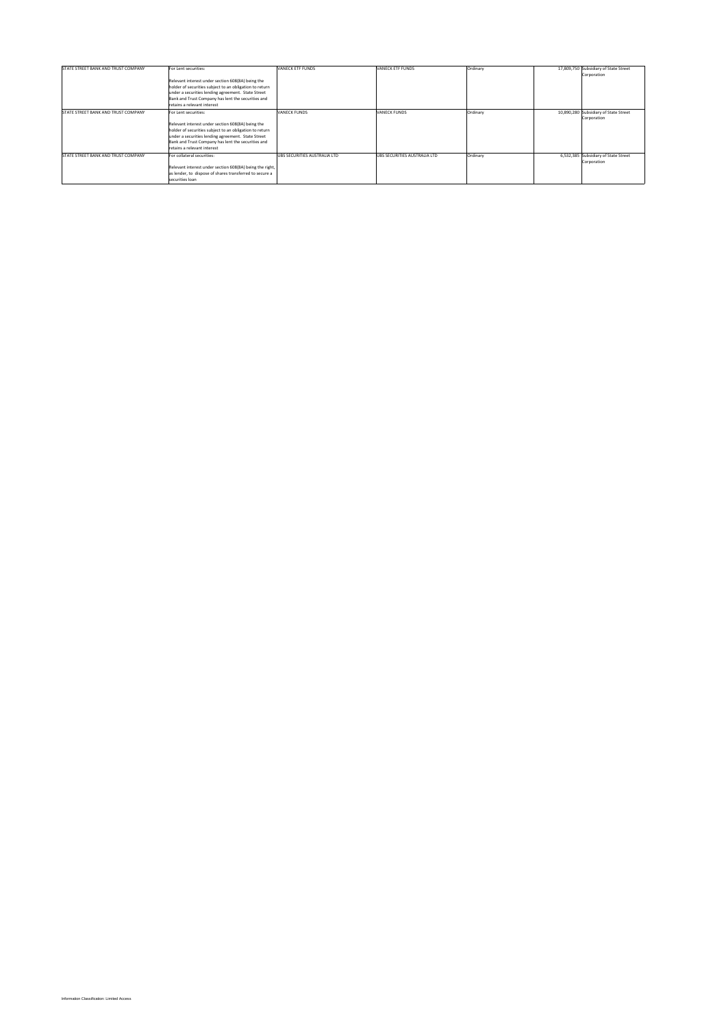| STATE STREET BANK AND TRUST COMPANY | For Lent securities:                                     | VANECK ETF FUNDS             | VANECK ETF FUNDS             | Ordinary | 17.809.750 Subsidiary of State Street |
|-------------------------------------|----------------------------------------------------------|------------------------------|------------------------------|----------|---------------------------------------|
|                                     |                                                          |                              |                              |          | Corporation                           |
|                                     | Relevant interest under section 608(8A) being the        |                              |                              |          |                                       |
|                                     | holder of securities subject to an obligation to return  |                              |                              |          |                                       |
|                                     | under a securities lending agreement. State Street       |                              |                              |          |                                       |
|                                     | Bank and Trust Company has lent the securities and       |                              |                              |          |                                       |
|                                     | retains a relevant interest                              |                              |                              |          |                                       |
| STATE STREET BANK AND TRUST COMPANY | For Lent securities:                                     | <b>VANECK FUNDS</b>          | VANECK FUNDS                 | Ordinary | 10,890,280 Subsidiary of State Street |
|                                     |                                                          |                              |                              |          | Corporation                           |
|                                     | Relevant interest under section 608(8A) being the        |                              |                              |          |                                       |
|                                     | holder of securities subject to an obligation to return  |                              |                              |          |                                       |
|                                     | under a securities lending agreement. State Street       |                              |                              |          |                                       |
|                                     | Bank and Trust Company has lent the securities and       |                              |                              |          |                                       |
|                                     | retains a relevant interest                              |                              |                              |          |                                       |
| STATE STREET BANK AND TRUST COMPANY | For collateral securities:                               | UBS SECURITIES AUSTRALIA LTD | UBS SECURITIES AUSTRALIA LTD | Ordinary | 6.532.385 Subsidiary of State Street  |
|                                     |                                                          |                              |                              |          | Corporation                           |
|                                     | Relevant interest under section 608(8A) being the right, |                              |                              |          |                                       |
|                                     | as lender, to dispose of shares transferred to secure a  |                              |                              |          |                                       |
|                                     | securities loan                                          |                              |                              |          |                                       |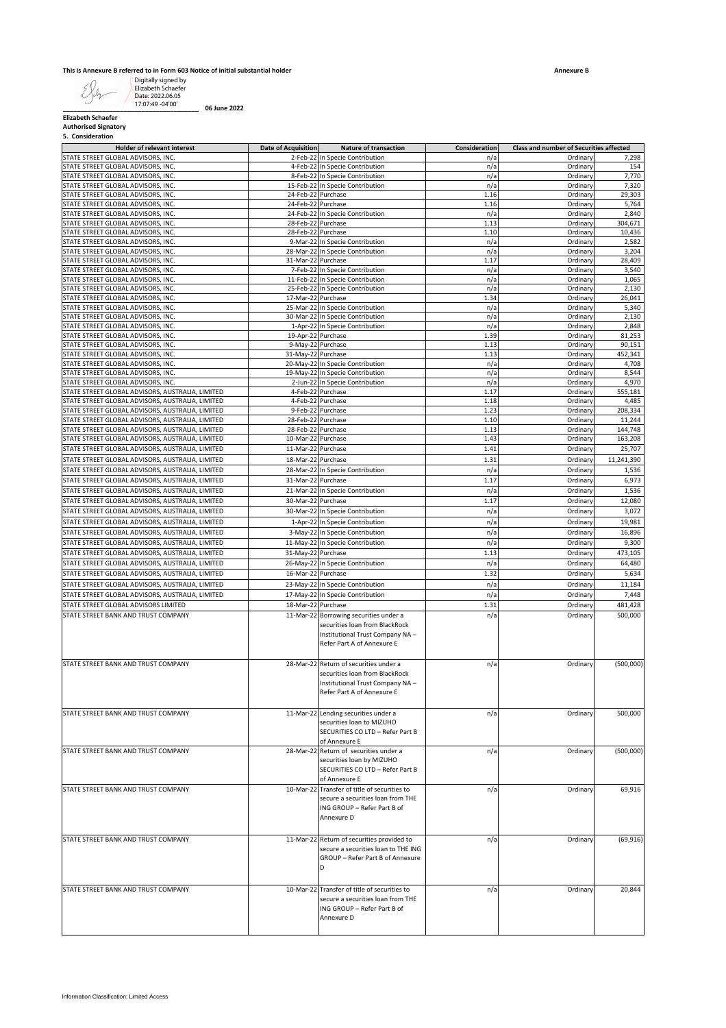#### **This is Annexure B referred to in Form 603 Notice of initial substantial holder**

|  | 5. Consideration |  |
|--|------------------|--|
|--|------------------|--|

| <b>Authorised Signatory</b>                                                                          |                            |                                                                                                                                           |               |                                         |                    |
|------------------------------------------------------------------------------------------------------|----------------------------|-------------------------------------------------------------------------------------------------------------------------------------------|---------------|-----------------------------------------|--------------------|
| 5. Consideration<br><b>Holder of relevant interest</b>                                               | <b>Date of Acquisition</b> | <b>Nature of transaction</b>                                                                                                              | Consideration | Class and number of Securities affected |                    |
| STATE STREET GLOBAL ADVISORS, INC                                                                    |                            | 2-Feb-22 In Specie Contribution                                                                                                           | n/a           | Ordinary                                | 7,298              |
| STATE STREET GLOBAL ADVISORS, INC.                                                                   |                            | 4-Feb-22 In Specie Contribution                                                                                                           | n/a           | Ordinary                                | 154                |
| STATE STREET GLOBAL ADVISORS, INC.<br>STATE STREET GLOBAL ADVISORS, INC.                             |                            | 8-Feb-22 In Specie Contribution<br>15-Feb-22 In Specie Contribution                                                                       | n/a<br>n/a    | Ordinary<br>Ordinary                    | 7,770<br>7,320     |
| STATE STREET GLOBAL ADVISORS, INC.                                                                   |                            | 24-Feb-22 Purchase                                                                                                                        | 1.16          | Ordinary                                | 29,303             |
| STATE STREET GLOBAL ADVISORS, INC.                                                                   | 24-Feb-22 Purchase         |                                                                                                                                           | 1.16          | Ordinary                                | 5,764              |
| STATE STREET GLOBAL ADVISORS, INC.                                                                   |                            | 24-Feb-22 In Specie Contribution                                                                                                          | n/a           | Ordinary                                | 2,840              |
| STATE STREET GLOBAL ADVISORS, INC.<br>STATE STREET GLOBAL ADVISORS, INC.                             | 28-Feb-22 Purchase         | 28-Feb-22 Purchase                                                                                                                        | 1.13<br>1.10  | Ordinary<br>Ordinary                    | 304,671<br>10,436  |
| STATE STREET GLOBAL ADVISORS, INC.                                                                   |                            | 9-Mar-22 In Specie Contribution                                                                                                           | n/a           | Ordinary                                | 2,582              |
| STATE STREET GLOBAL ADVISORS, INC.                                                                   |                            | 28-Mar-22 In Specie Contribution                                                                                                          | n/a           | Ordinary                                | 3,204              |
| STATE STREET GLOBAL ADVISORS, INC.                                                                   | 31-Mar-22 Purchase         |                                                                                                                                           | 1.17          | Ordinary                                | 28,409             |
| STATE STREET GLOBAL ADVISORS, INC.<br>STATE STREET GLOBAL ADVISORS, INC.                             |                            | 7-Feb-22 In Specie Contribution<br>11-Feb-22 In Specie Contribution                                                                       | n/a<br>n/a    | Ordinary<br>Ordinary                    | 3,540<br>1,065     |
| STATE STREET GLOBAL ADVISORS, INC.                                                                   |                            | 25-Feb-22 In Specie Contribution                                                                                                          | n/a           | Ordinary                                | 2,130              |
| STATE STREET GLOBAL ADVISORS, INC.                                                                   | 17-Mar-22 Purchase         |                                                                                                                                           | 1.34          | Ordinary                                | 26,041             |
| STATE STREET GLOBAL ADVISORS, INC.                                                                   |                            | 25-Mar-22 In Specie Contribution                                                                                                          | n/a           | Ordinary                                | 5,340              |
| STATE STREET GLOBAL ADVISORS, INC.                                                                   |                            | 30-Mar-22 In Specie Contribution                                                                                                          | n/a           | Ordinary<br>Ordinary                    | 2,130              |
| STATE STREET GLOBAL ADVISORS, INC.<br>STATE STREET GLOBAL ADVISORS, INC.                             | 19-Apr-22 Purchase         | 1-Apr-22 In Specie Contribution                                                                                                           | n/a<br>1.39   | Ordinary                                | 2,848<br>81,253    |
| STATE STREET GLOBAL ADVISORS. INC.                                                                   |                            | 9-May-22 Purchase                                                                                                                         | 1.13          | Ordinary                                | 90,151             |
| STATE STREET GLOBAL ADVISORS, INC.                                                                   | 31-May-22 Purchase         |                                                                                                                                           | 1.13          | Ordinary                                | 452,341            |
| STATE STREET GLOBAL ADVISORS, INC.                                                                   |                            | 20-May-22 In Specie Contribution                                                                                                          | n/a           | Ordinary                                | 4,708              |
| STATE STREET GLOBAL ADVISORS, INC.<br>STATE STREET GLOBAL ADVISORS, INC.                             |                            | 19-May-22 In Specie Contribution                                                                                                          | n/a<br>n/a    | Ordinary                                | 8,544<br>4,970     |
| STATE STREET GLOBAL ADVISORS, AUSTRALIA, LIMITED                                                     |                            | 2-Jun-22 In Specie Contribution<br>4-Feb-22 Purchase                                                                                      | 1.17          | Ordinary<br>Ordinary                    | 555,181            |
| STATE STREET GLOBAL ADVISORS, AUSTRALIA, LIMITED                                                     |                            | 4-Feb-22 Purchase                                                                                                                         | 1.18          | Ordinary                                | 4,485              |
| STATE STREET GLOBAL ADVISORS, AUSTRALIA, LIMITED                                                     |                            | 9-Feb-22 Purchase                                                                                                                         | 1.23          | Ordinary                                | 208.334            |
| STATE STREET GLOBAL ADVISORS, AUSTRALIA, LIMITED                                                     |                            | 28-Feb-22 Purchase                                                                                                                        | 1.10          | Ordinary                                | 11,244             |
| STATE STREET GLOBAL ADVISORS, AUSTRALIA, LIMITED<br>STATE STREET GLOBAL ADVISORS, AUSTRALIA, LIMITED | 10-Mar-22 Purchase         | 28-Feb-22 Purchase                                                                                                                        | 1.13<br>1.43  | Ordinary<br>Ordinary                    | 144,748<br>163,208 |
| STATE STREET GLOBAL ADVISORS, AUSTRALIA, LIMITED                                                     | 11-Mar-22 Purchase         |                                                                                                                                           | 1.41          | Ordinary                                | 25,707             |
| STATE STREET GLOBAL ADVISORS, AUSTRALIA, LIMITED                                                     | 18-Mar-22                  | Purchase                                                                                                                                  | 1.31          | Ordinary                                | 11,241,390         |
| STATE STREET GLOBAL ADVISORS, AUSTRALIA, LIMITED                                                     |                            | 28-Mar-22 In Specie Contribution                                                                                                          | n/a           | Ordinary                                | 1,536              |
| STATE STREET GLOBAL ADVISORS, AUSTRALIA, LIMITED                                                     | 31-Mar-22 Purchase         |                                                                                                                                           | 1.17          | Ordinary                                | 6,973              |
| STATE STREET GLOBAL ADVISORS, AUSTRALIA, LIMITED                                                     |                            | 21-Mar-22 In Specie Contribution                                                                                                          | n/a           | Ordinary                                | 1,536              |
| STATE STREET GLOBAL ADVISORS, AUSTRALIA, LIMITED                                                     | 30-Mar-22 Purchase         |                                                                                                                                           | 1.17          | Ordinary                                | 12,080             |
| STATE STREET GLOBAL ADVISORS, AUSTRALIA, LIMITED                                                     |                            | 30-Mar-22 In Specie Contribution                                                                                                          | n/a           | Ordinary                                | 3,072              |
| STATE STREET GLOBAL ADVISORS, AUSTRALIA, LIMITED                                                     |                            | 1-Apr-22 In Specie Contribution                                                                                                           | n/a           | Ordinary                                | 19,981             |
| STATE STREET GLOBAL ADVISORS, AUSTRALIA, LIMITED                                                     |                            | 3-May-22 In Specie Contribution                                                                                                           | n/a           | Ordinary                                | 16,896             |
| STATE STREET GLOBAL ADVISORS, AUSTRALIA, LIMITED                                                     |                            | 11-May-22 In Specie Contribution                                                                                                          | n/a           | Ordinary                                | 9,300              |
| STATE STREET GLOBAL ADVISORS, AUSTRALIA, LIMITED                                                     | 31-May-22 Purchase         |                                                                                                                                           | 1.13          | Ordinary                                | 473,105            |
| STATE STREET GLOBAL ADVISORS, AUSTRALIA, LIMITED<br>STATE STREET GLOBAL ADVISORS, AUSTRALIA, LIMITED | 16-Mar-22 Purchase         | 26-May-22 In Specie Contribution                                                                                                          | n/a<br>1.32   | Ordinary<br>Ordinary                    | 64,480<br>5,634    |
| STATE STREET GLOBAL ADVISORS, AUSTRALIA, LIMITED                                                     |                            | 23-May-22 In Specie Contribution                                                                                                          | n/a           | Ordinary                                | 11,184             |
| STATE STREET GLOBAL ADVISORS, AUSTRALIA, LIMITED                                                     |                            | 17-May-22 In Specie Contribution                                                                                                          | n/a           | Ordinary                                | 7,448              |
| STATE STREET GLOBAL ADVISORS LIMITED                                                                 | 18-Mar-22 Purchase         |                                                                                                                                           | 1.31          | Ordinary                                | 481.428            |
| STATE STREET BANK AND TRUST COMPANY                                                                  |                            | 11-Mar-22 Borrowing securities under a<br>securities loan from BlackRock<br>Institutional Trust Company NA-<br>Refer Part A of Annexure E | n/a           | Ordinary                                | 500,000            |
| STATE STREET BANK AND TRUST COMPANY                                                                  | 28-Mar-22                  | Return of securities under a<br>securities loan from BlackRock<br>Institutional Trust Company NA -<br>Refer Part A of Annexure E          | n/a           | Ordinary                                | (500,000)          |
| STATE STREET BANK AND TRUST COMPANY                                                                  |                            | 11-Mar-22 Lending securities under a<br>securities loan to MIZUHO<br>SECURITIES CO LTD - Refer Part B<br>of Annexure E                    | n/a           | Ordinary                                | 500,000            |
| STATE STREET BANK AND TRUST COMPANY                                                                  |                            | 28-Mar-22 Return of securities under a<br>securities loan by MIZUHO<br>SECURITIES CO LTD - Refer Part B<br>of Annexure E                  | n/a           | Ordinary                                | (500,000)          |
| STATE STREET BANK AND TRUST COMPANY                                                                  |                            | 10-Mar-22 Transfer of title of securities to<br>secure a securities loan from THE<br>ING GROUP - Refer Part B of<br>Annexure D            | n/a           | Ordinary                                | 69,916             |
| STATE STREET BANK AND TRUST COMPANY                                                                  |                            | 11-Mar-22 Return of securities provided to<br>secure a securities loan to THE ING<br>GROUP - Refer Part B of Annexure<br>D                | n/a           | Ordinary                                | (69, 916)          |
| STATE STREET BANK AND TRUST COMPANY                                                                  |                            | 10-Mar-22 Transfer of title of securities to<br>secure a securities loan from THE<br>ING GROUP - Refer Part B of<br>Annexure D            | n/a           | Ordinary                                | 20,844             |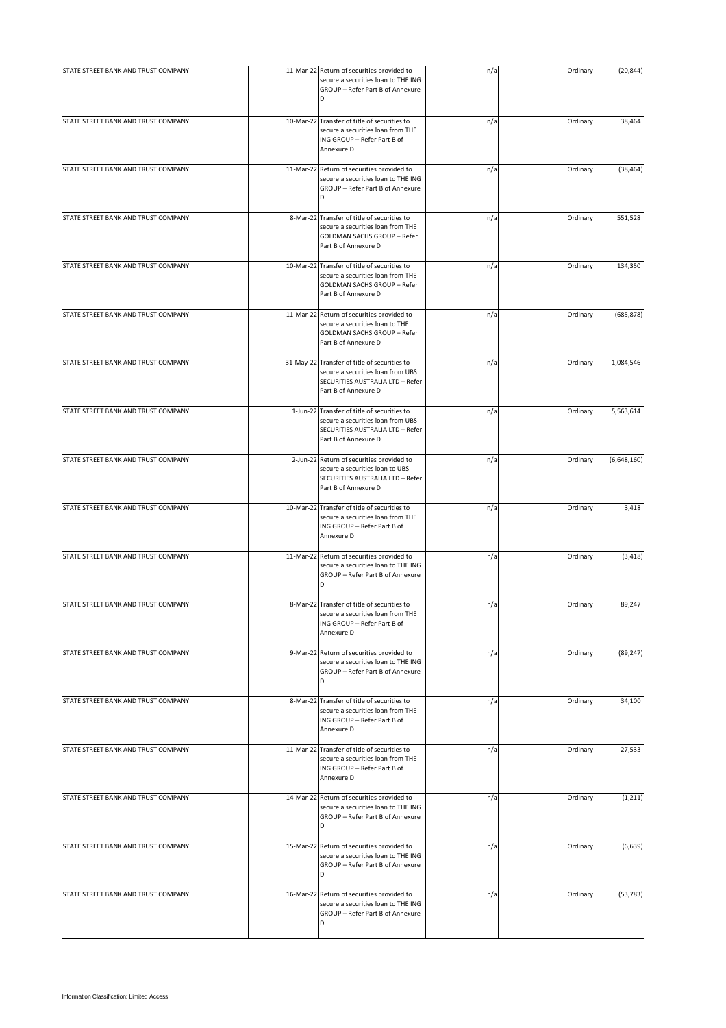|                                     | 11-Mar-22 Return of securities provided to                                                                                                      |     |          |             |
|-------------------------------------|-------------------------------------------------------------------------------------------------------------------------------------------------|-----|----------|-------------|
| STATE STREET BANK AND TRUST COMPANY | secure a securities loan to THE ING<br>GROUP - Refer Part B of Annexure<br>D                                                                    | n/a | Ordinary | (20, 844)   |
| STATE STREET BANK AND TRUST COMPANY | 10-Mar-22 Transfer of title of securities to<br>secure a securities loan from THE<br>ING GROUP - Refer Part B of<br>Annexure D                  | n/a | Ordinary | 38,464      |
| STATE STREET BANK AND TRUST COMPANY | 11-Mar-22 Return of securities provided to<br>secure a securities loan to THE ING<br>GROUP - Refer Part B of Annexure<br>D                      | n/a | Ordinary | (38, 464)   |
| STATE STREET BANK AND TRUST COMPANY | 8-Mar-22 Transfer of title of securities to<br>secure a securities loan from THE<br><b>GOLDMAN SACHS GROUP - Refer</b><br>Part B of Annexure D  | n/a | Ordinary | 551,528     |
| STATE STREET BANK AND TRUST COMPANY | 10-Mar-22 Transfer of title of securities to<br>secure a securities loan from THE<br><b>GOLDMAN SACHS GROUP - Refer</b><br>Part B of Annexure D | n/a | Ordinary | 134,350     |
| STATE STREET BANK AND TRUST COMPANY | 11-Mar-22 Return of securities provided to<br>secure a securities loan to THE<br><b>GOLDMAN SACHS GROUP - Refer</b><br>Part B of Annexure D     | n/a | Ordinary | (685, 878)  |
| STATE STREET BANK AND TRUST COMPANY | 31-May-22 Transfer of title of securities to<br>secure a securities loan from UBS<br>SECURITIES AUSTRALIA LTD - Refer<br>Part B of Annexure D   | n/a | Ordinary | 1,084,546   |
| STATE STREET BANK AND TRUST COMPANY | 1-Jun-22 Transfer of title of securities to<br>secure a securities loan from UBS<br>SECURITIES AUSTRALIA LTD - Refer<br>Part B of Annexure D    | n/a | Ordinary | 5,563,614   |
| STATE STREET BANK AND TRUST COMPANY | 2-Jun-22 Return of securities provided to<br>secure a securities loan to UBS<br>SECURITIES AUSTRALIA LTD - Refer<br>Part B of Annexure D        | n/a | Ordinary | (6,648,160) |
| STATE STREET BANK AND TRUST COMPANY | 10-Mar-22 Transfer of title of securities to<br>secure a securities loan from THE<br>ING GROUP - Refer Part B of<br>Annexure D                  | n/a | Ordinary | 3,418       |
| STATE STREET BANK AND TRUST COMPANY | 11-Mar-22 Return of securities provided to<br>secure a securities loan to THE ING<br>GROUP - Refer Part B of Annexure<br>D                      | n/a | Ordinary | (3, 418)    |
| STATE STREET BANK AND TRUST COMPANY | 8-Mar-22 Transfer of title of securities to<br>secure a securities loan from THE<br>ING GROUP - Refer Part B of<br>Annexure D                   | n/a | Ordinary | 89,247      |
| STATE STREET BANK AND TRUST COMPANY | 9-Mar-22 Return of securities provided to<br>secure a securities loan to THE ING<br>GROUP - Refer Part B of Annexure<br>D                       | n/a | Ordinary | (89, 247)   |
| STATE STREET BANK AND TRUST COMPANY | 8-Mar-22 Transfer of title of securities to<br>secure a securities loan from THE<br>ING GROUP - Refer Part B of<br>Annexure D                   | n/a | Ordinary | 34,100      |
| STATE STREET BANK AND TRUST COMPANY | 11-Mar-22 Transfer of title of securities to<br>secure a securities loan from THE<br>ING GROUP - Refer Part B of<br>Annexure D                  | n/a | Ordinary | 27,533      |
| STATE STREET BANK AND TRUST COMPANY | 14-Mar-22 Return of securities provided to<br>secure a securities loan to THE ING<br>GROUP - Refer Part B of Annexure<br>D                      | n/a | Ordinary | (1, 211)    |
| STATE STREET BANK AND TRUST COMPANY | 15-Mar-22 Return of securities provided to<br>secure a securities loan to THE ING<br>GROUP - Refer Part B of Annexure<br>D                      | n/a | Ordinary | (6, 639)    |
| STATE STREET BANK AND TRUST COMPANY | 16-Mar-22 Return of securities provided to<br>secure a securities loan to THE ING<br>GROUP - Refer Part B of Annexure<br>D                      | n/a | Ordinary | (53, 783)   |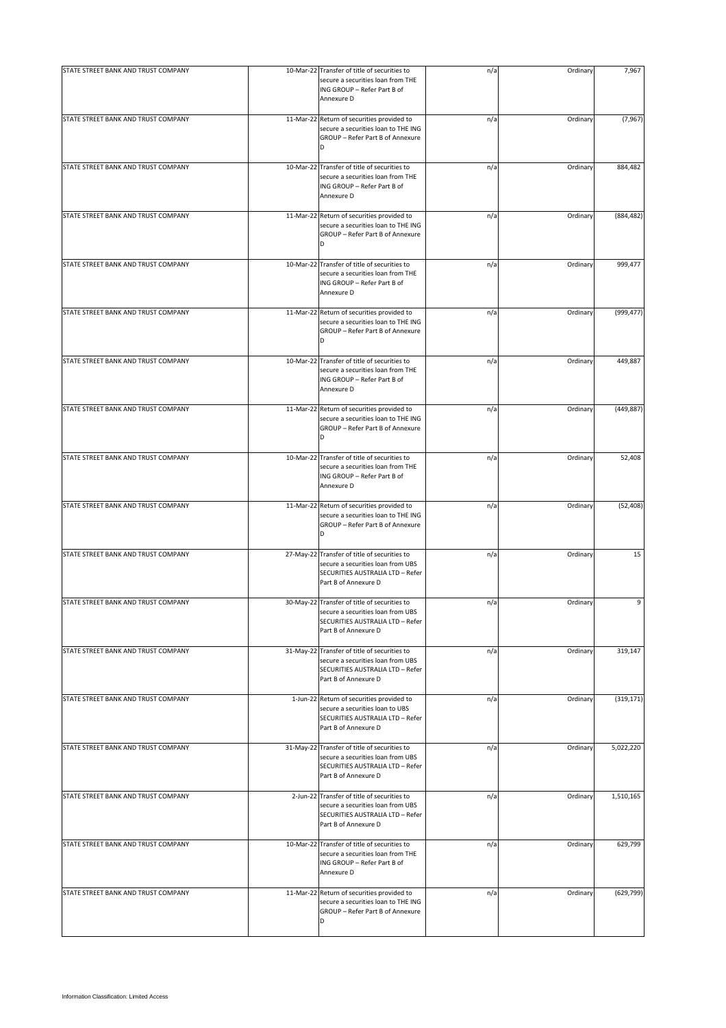| STATE STREET BANK AND TRUST COMPANY | 10-Mar-22 Transfer of title of securities to                                                                                                  | n/a | Ordinary | 7,967      |
|-------------------------------------|-----------------------------------------------------------------------------------------------------------------------------------------------|-----|----------|------------|
|                                     | secure a securities loan from THE<br>ING GROUP - Refer Part B of<br>Annexure D                                                                |     |          |            |
| STATE STREET BANK AND TRUST COMPANY | 11-Mar-22 Return of securities provided to<br>secure a securities loan to THE ING<br>GROUP - Refer Part B of Annexure<br>D                    | n/a | Ordinary | (7, 967)   |
| STATE STREET BANK AND TRUST COMPANY | 10-Mar-22 Transfer of title of securities to<br>secure a securities loan from THE<br>ING GROUP - Refer Part B of<br>Annexure D                | n/a | Ordinary | 884,482    |
| STATE STREET BANK AND TRUST COMPANY | 11-Mar-22 Return of securities provided to<br>secure a securities loan to THE ING<br>GROUP - Refer Part B of Annexure<br>D                    | n/a | Ordinary | (884, 482) |
| STATE STREET BANK AND TRUST COMPANY | 10-Mar-22 Transfer of title of securities to<br>secure a securities loan from THE<br>ING GROUP - Refer Part B of<br>Annexure D                | n/a | Ordinary | 999,477    |
| STATE STREET BANK AND TRUST COMPANY | 11-Mar-22 Return of securities provided to<br>secure a securities loan to THE ING<br>GROUP - Refer Part B of Annexure<br>D                    | n/a | Ordinary | (999, 477) |
| STATE STREET BANK AND TRUST COMPANY | 10-Mar-22 Transfer of title of securities to<br>secure a securities loan from THE<br>ING GROUP - Refer Part B of<br>Annexure D                | n/a | Ordinary | 449,887    |
| STATE STREET BANK AND TRUST COMPANY | 11-Mar-22 Return of securities provided to<br>secure a securities loan to THE ING<br>GROUP - Refer Part B of Annexure<br>D                    | n/a | Ordinary | (449, 887) |
| STATE STREET BANK AND TRUST COMPANY | 10-Mar-22 Transfer of title of securities to<br>secure a securities loan from THE<br>ING GROUP - Refer Part B of<br>Annexure D                | n/a | Ordinary | 52,408     |
| STATE STREET BANK AND TRUST COMPANY | 11-Mar-22 Return of securities provided to<br>secure a securities loan to THE ING<br>GROUP - Refer Part B of Annexure<br>D                    | n/a | Ordinary | (52, 408)  |
| STATE STREET BANK AND TRUST COMPANY | 27-May-22 Transfer of title of securities to<br>secure a securities loan from UBS<br>SECURITIES AUSTRALIA LTD - Refer<br>Part B of Annexure D | n/a | Ordinary | 15         |
| STATE STREET BANK AND TRUST COMPANY | 30-May-22 Transfer of title of securities to<br>secure a securities loan from UBS<br>SECURITIES AUSTRALIA LTD - Refer<br>Part B of Annexure D | n/a | Ordinary | 9          |
| STATE STREET BANK AND TRUST COMPANY | 31-May-22 Transfer of title of securities to<br>secure a securities loan from UBS<br>SECURITIES AUSTRALIA LTD - Refer<br>Part B of Annexure D | n/a | Ordinary | 319,147    |
| STATE STREET BANK AND TRUST COMPANY | 1-Jun-22 Return of securities provided to<br>secure a securities loan to UBS<br>SECURITIES AUSTRALIA LTD - Refer<br>Part B of Annexure D      | n/a | Ordinary | (319, 171) |
| STATE STREET BANK AND TRUST COMPANY | 31-May-22 Transfer of title of securities to<br>secure a securities loan from UBS<br>SECURITIES AUSTRALIA LTD - Refer<br>Part B of Annexure D | n/a | Ordinary | 5,022,220  |
| STATE STREET BANK AND TRUST COMPANY | 2-Jun-22 Transfer of title of securities to<br>secure a securities loan from UBS<br>SECURITIES AUSTRALIA LTD - Refer<br>Part B of Annexure D  | n/a | Ordinary | 1,510,165  |
| STATE STREET BANK AND TRUST COMPANY | 10-Mar-22 Transfer of title of securities to<br>secure a securities loan from THE<br>ING GROUP - Refer Part B of<br>Annexure D                | n/a | Ordinary | 629,799    |
| STATE STREET BANK AND TRUST COMPANY | 11-Mar-22 Return of securities provided to<br>secure a securities loan to THE ING<br>GROUP - Refer Part B of Annexure<br>D                    | n/a | Ordinary | (629, 799) |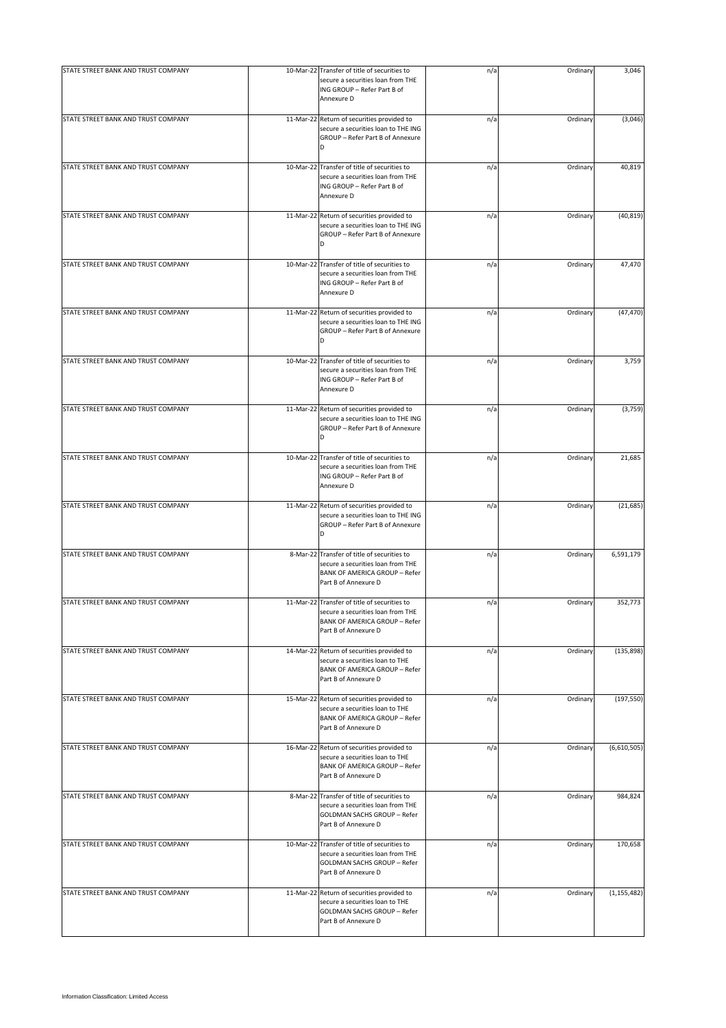| STATE STREET BANK AND TRUST COMPANY | 10-Mar-22 Transfer of title of securities to                                                                                                      | n/a | Ordinary | 3,046         |
|-------------------------------------|---------------------------------------------------------------------------------------------------------------------------------------------------|-----|----------|---------------|
|                                     | secure a securities loan from THE<br>ING GROUP - Refer Part B of<br>Annexure D                                                                    |     |          |               |
| STATE STREET BANK AND TRUST COMPANY | 11-Mar-22 Return of securities provided to<br>secure a securities loan to THE ING<br>GROUP - Refer Part B of Annexure<br>D                        | n/a | Ordinary | (3,046)       |
| STATE STREET BANK AND TRUST COMPANY | 10-Mar-22 Transfer of title of securities to<br>secure a securities loan from THE<br>ING GROUP - Refer Part B of<br>Annexure D                    | n/a | Ordinary | 40,819        |
| STATE STREET BANK AND TRUST COMPANY | 11-Mar-22 Return of securities provided to<br>secure a securities loan to THE ING<br>GROUP - Refer Part B of Annexure<br>D                        | n/a | Ordinary | (40, 819)     |
| STATE STREET BANK AND TRUST COMPANY | 10-Mar-22 Transfer of title of securities to<br>secure a securities loan from THE<br>ING GROUP - Refer Part B of<br>Annexure D                    | n/a | Ordinary | 47,470        |
| STATE STREET BANK AND TRUST COMPANY | 11-Mar-22 Return of securities provided to<br>secure a securities loan to THE ING<br>GROUP - Refer Part B of Annexure<br>D                        | n/a | Ordinary | (47, 470)     |
| STATE STREET BANK AND TRUST COMPANY | 10-Mar-22 Transfer of title of securities to<br>secure a securities loan from THE<br>ING GROUP - Refer Part B of<br>Annexure D                    | n/a | Ordinary | 3,759         |
| STATE STREET BANK AND TRUST COMPANY | 11-Mar-22 Return of securities provided to<br>secure a securities loan to THE ING<br>GROUP - Refer Part B of Annexure<br>D                        | n/a | Ordinary | (3,759)       |
| STATE STREET BANK AND TRUST COMPANY | 10-Mar-22 Transfer of title of securities to<br>secure a securities loan from THE<br>ING GROUP - Refer Part B of<br>Annexure D                    | n/a | Ordinary | 21,685        |
| STATE STREET BANK AND TRUST COMPANY | 11-Mar-22 Return of securities provided to<br>secure a securities loan to THE ING<br>GROUP - Refer Part B of Annexure<br>D                        | n/a | Ordinary | (21, 685)     |
| STATE STREET BANK AND TRUST COMPANY | 8-Mar-22 Transfer of title of securities to<br>secure a securities loan from THE<br><b>BANK OF AMERICA GROUP - Refer</b><br>Part B of Annexure D  | n/a | Ordinary | 6,591,179     |
| STATE STREET BANK AND TRUST COMPANY | 11-Mar-22 Transfer of title of securities to<br>secure a securities loan from THE<br><b>BANK OF AMERICA GROUP - Refer</b><br>Part B of Annexure D | n/a | Ordinary | 352,773       |
| STATE STREET BANK AND TRUST COMPANY | 14-Mar-22 Return of securities provided to<br>secure a securities loan to THE<br><b>BANK OF AMERICA GROUP - Refer</b><br>Part B of Annexure D     | n/a | Ordinary | (135, 898)    |
| STATE STREET BANK AND TRUST COMPANY | 15-Mar-22 Return of securities provided to<br>secure a securities loan to THE<br><b>BANK OF AMERICA GROUP - Refer</b><br>Part B of Annexure D     | n/a | Ordinary | (197, 550)    |
| STATE STREET BANK AND TRUST COMPANY | 16-Mar-22 Return of securities provided to<br>secure a securities loan to THE<br><b>BANK OF AMERICA GROUP - Refer</b><br>Part B of Annexure D     | n/a | Ordinary | (6,610,505)   |
| STATE STREET BANK AND TRUST COMPANY | 8-Mar-22 Transfer of title of securities to<br>secure a securities loan from THE<br><b>GOLDMAN SACHS GROUP - Refer</b><br>Part B of Annexure D    | n/a | Ordinary | 984,824       |
| STATE STREET BANK AND TRUST COMPANY | 10-Mar-22 Transfer of title of securities to<br>secure a securities loan from THE<br>GOLDMAN SACHS GROUP - Refer<br>Part B of Annexure D          | n/a | Ordinary | 170,658       |
| STATE STREET BANK AND TRUST COMPANY | 11-Mar-22 Return of securities provided to<br>secure a securities loan to THE<br><b>GOLDMAN SACHS GROUP - Refer</b><br>Part B of Annexure D       | n/a | Ordinary | (1, 155, 482) |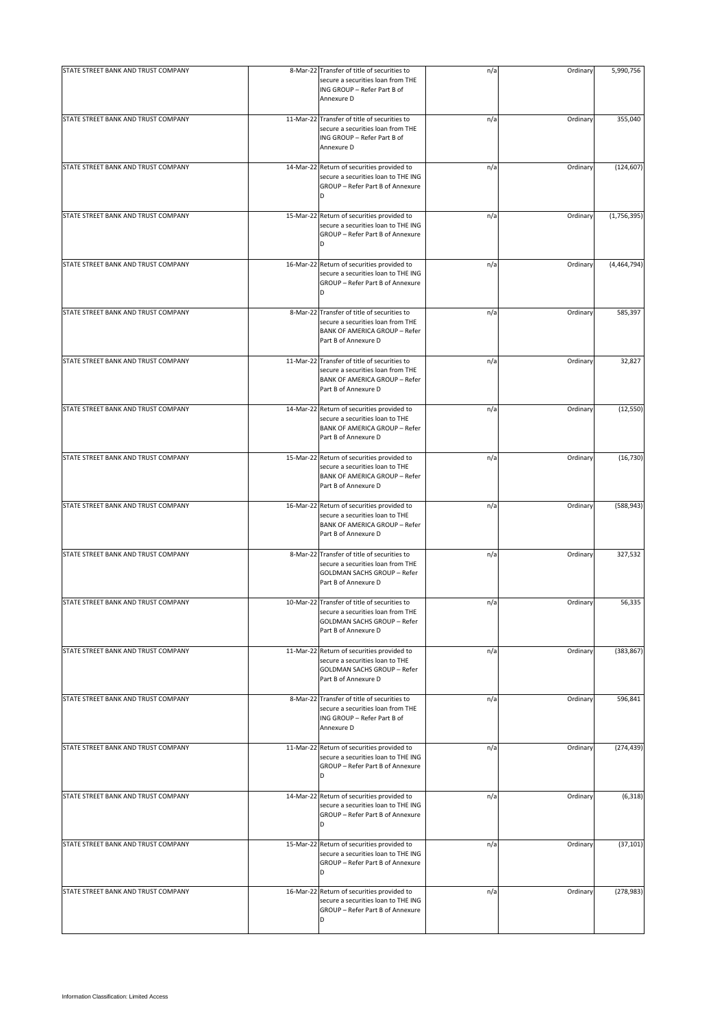| STATE STREET BANK AND TRUST COMPANY | 8-Mar-22 Transfer of title of securities to                                                                                                       | n/a | Ordinary | 5,990,756   |
|-------------------------------------|---------------------------------------------------------------------------------------------------------------------------------------------------|-----|----------|-------------|
|                                     | secure a securities loan from THE<br>ING GROUP - Refer Part B of<br>Annexure D                                                                    |     |          |             |
| STATE STREET BANK AND TRUST COMPANY | 11-Mar-22 Transfer of title of securities to<br>secure a securities loan from THE<br>ING GROUP - Refer Part B of<br>Annexure D                    | n/a | Ordinary | 355,040     |
| STATE STREET BANK AND TRUST COMPANY | 14-Mar-22 Return of securities provided to<br>secure a securities loan to THE ING<br>GROUP - Refer Part B of Annexure<br>D                        | n/a | Ordinary | (124, 607)  |
| STATE STREET BANK AND TRUST COMPANY | 15-Mar-22 Return of securities provided to<br>secure a securities loan to THE ING<br>GROUP - Refer Part B of Annexure<br>D                        | n/a | Ordinary | (1,756,395) |
| STATE STREET BANK AND TRUST COMPANY | 16-Mar-22 Return of securities provided to<br>secure a securities loan to THE ING<br>GROUP - Refer Part B of Annexure<br>D                        | n/a | Ordinary | (4,464,794) |
| STATE STREET BANK AND TRUST COMPANY | 8-Mar-22 Transfer of title of securities to<br>secure a securities loan from THE<br><b>BANK OF AMERICA GROUP - Refer</b><br>Part B of Annexure D  | n/a | Ordinary | 585,397     |
| STATE STREET BANK AND TRUST COMPANY | 11-Mar-22 Transfer of title of securities to<br>secure a securities loan from THE<br><b>BANK OF AMERICA GROUP - Refer</b><br>Part B of Annexure D | n/a | Ordinary | 32,827      |
| STATE STREET BANK AND TRUST COMPANY | 14-Mar-22 Return of securities provided to<br>secure a securities loan to THE<br><b>BANK OF AMERICA GROUP - Refer</b><br>Part B of Annexure D     | n/a | Ordinary | (12, 550)   |
| STATE STREET BANK AND TRUST COMPANY | 15-Mar-22 Return of securities provided to<br>secure a securities loan to THE<br><b>BANK OF AMERICA GROUP - Refer</b><br>Part B of Annexure D     | n/a | Ordinary | (16, 730)   |
| STATE STREET BANK AND TRUST COMPANY | 16-Mar-22 Return of securities provided to<br>secure a securities loan to THE<br><b>BANK OF AMERICA GROUP - Refer</b><br>Part B of Annexure D     | n/a | Ordinary | (588, 943)  |
| STATE STREET BANK AND TRUST COMPANY | 8-Mar-22 Transfer of title of securities to<br>secure a securities loan from THE<br><b>GOLDMAN SACHS GROUP - Refer</b><br>Part B of Annexure D    | n/a | Ordinary | 327,532     |
| STATE STREET BANK AND TRUST COMPANY | 10-Mar-22 Transfer of title of securities to<br>secure a securities loan from THE<br><b>GOLDMAN SACHS GROUP - Refer</b><br>Part B of Annexure D   | n/a | Ordinary | 56,335      |
| STATE STREET BANK AND TRUST COMPANY | 11-Mar-22 Return of securities provided to<br>secure a securities loan to THE<br><b>GOLDMAN SACHS GROUP - Refer</b><br>Part B of Annexure D       | n/a | Ordinary | (383, 867)  |
| STATE STREET BANK AND TRUST COMPANY | 8-Mar-22 Transfer of title of securities to<br>secure a securities loan from THE<br>ING GROUP - Refer Part B of<br>Annexure D                     | n/a | Ordinary | 596,841     |
| STATE STREET BANK AND TRUST COMPANY | 11-Mar-22 Return of securities provided to<br>secure a securities loan to THE ING<br>GROUP - Refer Part B of Annexure<br>D                        | n/a | Ordinary | (274, 439)  |
| STATE STREET BANK AND TRUST COMPANY | 14-Mar-22 Return of securities provided to<br>secure a securities loan to THE ING<br>GROUP - Refer Part B of Annexure<br>D                        | n/a | Ordinary | (6, 318)    |
| STATE STREET BANK AND TRUST COMPANY | 15-Mar-22 Return of securities provided to<br>secure a securities loan to THE ING<br>GROUP - Refer Part B of Annexure<br>D                        | n/a | Ordinary | (37, 101)   |
| STATE STREET BANK AND TRUST COMPANY | 16-Mar-22 Return of securities provided to<br>secure a securities loan to THE ING<br>GROUP - Refer Part B of Annexure<br>D                        | n/a | Ordinary | (278, 983)  |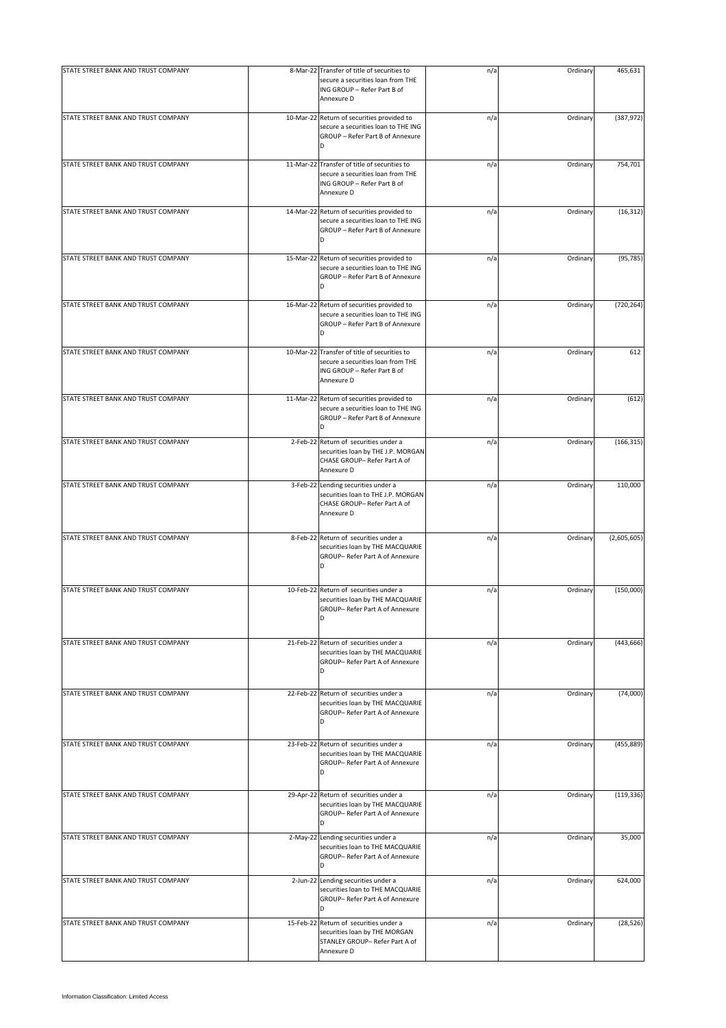| STATE STREET BANK AND TRUST COMPANY | 8-Mar-22 Transfer of title of securities to                                                                                    | n/a | Ordinary | 465,631     |
|-------------------------------------|--------------------------------------------------------------------------------------------------------------------------------|-----|----------|-------------|
|                                     | secure a securities loan from THE<br>ING GROUP - Refer Part B of<br>Annexure D                                                 |     |          |             |
| STATE STREET BANK AND TRUST COMPANY | 10-Mar-22 Return of securities provided to<br>secure a securities loan to THE ING<br>GROUP - Refer Part B of Annexure<br>D     | n/a | Ordinary | (387, 972)  |
| STATE STREET BANK AND TRUST COMPANY | 11-Mar-22 Transfer of title of securities to<br>secure a securities loan from THE<br>ING GROUP - Refer Part B of<br>Annexure D | n/a | Ordinary | 754,701     |
| STATE STREET BANK AND TRUST COMPANY | 14-Mar-22 Return of securities provided to<br>secure a securities loan to THE ING<br>GROUP - Refer Part B of Annexure<br>D     | n/a | Ordinary | (16, 312)   |
| STATE STREET BANK AND TRUST COMPANY | 15-Mar-22 Return of securities provided to<br>secure a securities loan to THE ING<br>GROUP - Refer Part B of Annexure<br>D     | n/a | Ordinary | (95, 785)   |
| STATE STREET BANK AND TRUST COMPANY | 16-Mar-22 Return of securities provided to<br>secure a securities loan to THE ING<br>GROUP - Refer Part B of Annexure<br>D     | n/a | Ordinary | (720, 264)  |
| STATE STREET BANK AND TRUST COMPANY | 10-Mar-22 Transfer of title of securities to<br>secure a securities loan from THE<br>ING GROUP - Refer Part B of<br>Annexure D | n/a | Ordinary | 612         |
| STATE STREET BANK AND TRUST COMPANY | 11-Mar-22 Return of securities provided to<br>secure a securities loan to THE ING<br>GROUP - Refer Part B of Annexure<br>D     | n/a | Ordinary | (612)       |
| STATE STREET BANK AND TRUST COMPANY | 2-Feb-22 Return of securities under a<br>securities loan by THE J.P. MORGAN<br>CHASE GROUP- Refer Part A of<br>Annexure D      | n/a | Ordinary | (166, 315)  |
| STATE STREET BANK AND TRUST COMPANY | 3-Feb-22 Lending securities under a<br>securities loan to THE J.P. MORGAN<br>CHASE GROUP- Refer Part A of<br>Annexure D        | n/a | Ordinary | 110,000     |
| STATE STREET BANK AND TRUST COMPANY | 8-Feb-22 Return of securities under a<br>securities loan by THE MACQUARIE<br>GROUP- Refer Part A of Annexure<br>D              | n/a | Ordinary | (2,605,605) |
| STATE STREET BANK AND TRUST COMPANY | 10-Feb-22 Return of securities under a<br>securities loan by THE MACQUARIE<br>GROUP- Refer Part A of Annexure<br>D             | n/a | Ordinary | (150,000)   |
| STATE STREET BANK AND TRUST COMPANY | 21-Feb-22 Return of securities under a<br>securities loan by THE MACQUARIE<br>GROUP- Refer Part A of Annexure<br>D             | n/a | Ordinary | (443, 666)  |
| STATE STREET BANK AND TRUST COMPANY | 22-Feb-22 Return of securities under a<br>securities loan by THE MACQUARIE<br>GROUP- Refer Part A of Annexure<br>D             | n/a | Ordinary | (74,000)    |
| STATE STREET BANK AND TRUST COMPANY | 23-Feb-22 Return of securities under a<br>securities loan by THE MACQUARIE<br>GROUP- Refer Part A of Annexure<br>D             | n/a | Ordinary | (455, 889)  |
| STATE STREET BANK AND TRUST COMPANY | 29-Apr-22 Return of securities under a<br>securities loan by THE MACQUARIE<br>GROUP- Refer Part A of Annexure<br>D             | n/a | Ordinary | (119, 336)  |
| STATE STREET BANK AND TRUST COMPANY | 2-May-22 Lending securities under a<br>securities loan to THE MACQUARIE<br>GROUP- Refer Part A of Annexure<br>D                | n/a | Ordinary | 35,000      |
| STATE STREET BANK AND TRUST COMPANY | 2-Jun-22 Lending securities under a<br>securities loan to THE MACQUARIE<br>GROUP- Refer Part A of Annexure<br>D                | n/a | Ordinary | 624,000     |
| STATE STREET BANK AND TRUST COMPANY | 15-Feb-22 Return of securities under a<br>securities loan by THE MORGAN<br>STANLEY GROUP- Refer Part A of<br>Annexure D        | n/a | Ordinary | (28, 526)   |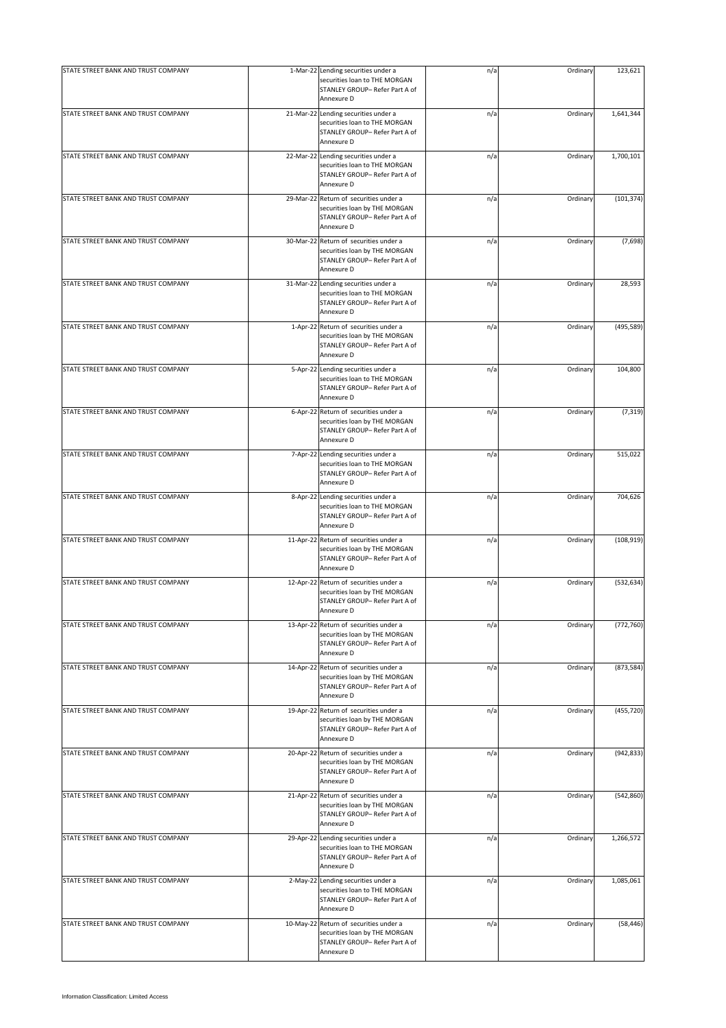| STATE STREET BANK AND TRUST COMPANY | 1-Mar-22 Lending securities under a<br>securities loan to THE MORGAN<br>STANLEY GROUP- Refer Part A of                              | n/a | Ordinary | 123,621    |
|-------------------------------------|-------------------------------------------------------------------------------------------------------------------------------------|-----|----------|------------|
| STATE STREET BANK AND TRUST COMPANY | Annexure D<br>21-Mar-22 Lending securities under a<br>securities loan to THE MORGAN<br>STANLEY GROUP- Refer Part A of<br>Annexure D | n/a | Ordinary | 1,641,344  |
| STATE STREET BANK AND TRUST COMPANY | 22-Mar-22 Lending securities under a<br>securities loan to THE MORGAN<br>STANLEY GROUP- Refer Part A of<br>Annexure D               | n/a | Ordinary | 1,700,101  |
| STATE STREET BANK AND TRUST COMPANY | 29-Mar-22 Return of securities under a<br>securities loan by THE MORGAN<br>STANLEY GROUP- Refer Part A of<br>Annexure D             | n/a | Ordinary | (101, 374) |
| STATE STREET BANK AND TRUST COMPANY | 30-Mar-22 Return of securities under a<br>securities loan by THE MORGAN<br>STANLEY GROUP- Refer Part A of<br>Annexure D             | n/a | Ordinary | (7,698)    |
| STATE STREET BANK AND TRUST COMPANY | 31-Mar-22 Lending securities under a<br>securities loan to THE MORGAN<br>STANLEY GROUP- Refer Part A of<br>Annexure D               | n/a | Ordinary | 28,593     |
| STATE STREET BANK AND TRUST COMPANY | 1-Apr-22 Return of securities under a<br>securities loan by THE MORGAN<br>STANLEY GROUP- Refer Part A of<br>Annexure D              | n/a | Ordinary | (495, 589) |
| STATE STREET BANK AND TRUST COMPANY | 5-Apr-22 Lending securities under a<br>securities loan to THE MORGAN<br>STANLEY GROUP- Refer Part A of<br>Annexure D                | n/a | Ordinary | 104,800    |
| STATE STREET BANK AND TRUST COMPANY | 6-Apr-22 Return of securities under a<br>securities loan by THE MORGAN<br>STANLEY GROUP- Refer Part A of<br>Annexure D              | n/a | Ordinary | (7, 319)   |
| STATE STREET BANK AND TRUST COMPANY | 7-Apr-22 Lending securities under a<br>securities loan to THE MORGAN<br>STANLEY GROUP- Refer Part A of<br>Annexure D                | n/a | Ordinary | 515,022    |
| STATE STREET BANK AND TRUST COMPANY | 8-Apr-22 Lending securities under a<br>securities loan to THE MORGAN<br>STANLEY GROUP- Refer Part A of<br>Annexure D                | n/a | Ordinary | 704,626    |
| STATE STREET BANK AND TRUST COMPANY | 11-Apr-22 Return of securities under a<br>securities loan by THE MORGAN<br>STANLEY GROUP- Refer Part A of<br>Annexure D             | n/a | Ordinary | (108, 919) |
| STATE STREET BANK AND TRUST COMPANY | 12-Apr-22 Return of securities under a<br>securities loan by THE MORGAN<br>STANLEY GROUP- Refer Part A of<br>Annexure D             | n/a | Ordinary | (532, 634) |
| STATE STREET BANK AND TRUST COMPANY | 13-Apr-22 Return of securities under a<br>securities loan by THE MORGAN<br>STANLEY GROUP- Refer Part A of<br>Annexure D             | n/a | Ordinary | (772, 760) |
| STATE STREET BANK AND TRUST COMPANY | 14-Apr-22 Return of securities under a<br>securities loan by THE MORGAN<br>STANLEY GROUP- Refer Part A of<br>Annexure D             | n/a | Ordinary | (873, 584) |
| STATE STREET BANK AND TRUST COMPANY | 19-Apr-22 Return of securities under a<br>securities loan by THE MORGAN<br>STANLEY GROUP- Refer Part A of<br>Annexure D             | n/a | Ordinary | (455, 720) |
| STATE STREET BANK AND TRUST COMPANY | 20-Apr-22 Return of securities under a<br>securities loan by THE MORGAN<br>STANLEY GROUP- Refer Part A of<br>Annexure D             | n/a | Ordinary | (942, 833) |
| STATE STREET BANK AND TRUST COMPANY | 21-Apr-22 Return of securities under a<br>securities loan by THE MORGAN<br>STANLEY GROUP- Refer Part A of<br>Annexure D             | n/a | Ordinary | (542, 860) |
| STATE STREET BANK AND TRUST COMPANY | 29-Apr-22 Lending securities under a<br>securities loan to THE MORGAN<br>STANLEY GROUP- Refer Part A of<br>Annexure D               | n/a | Ordinary | 1,266,572  |
| STATE STREET BANK AND TRUST COMPANY | 2-May-22 Lending securities under a<br>securities loan to THE MORGAN<br>STANLEY GROUP- Refer Part A of<br>Annexure D                | n/a | Ordinary | 1,085,061  |
| STATE STREET BANK AND TRUST COMPANY | 10-May-22 Return of securities under a<br>securities loan by THE MORGAN<br>STANLEY GROUP- Refer Part A of<br>Annexure D             | n/a | Ordinary | (58, 446)  |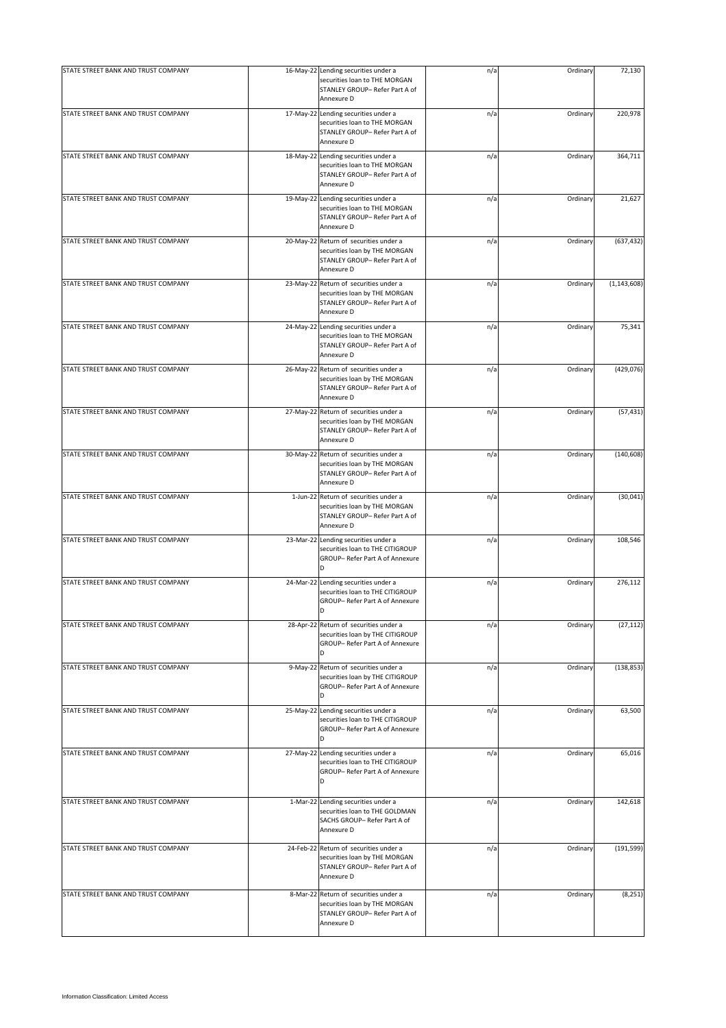| STATE STREET BANK AND TRUST COMPANY | 16-May-22 Lending securities under a<br>securities loan to THE MORGAN<br>STANLEY GROUP- Refer Part A of<br>Annexure D   | n/a | Ordinary | 72,130        |
|-------------------------------------|-------------------------------------------------------------------------------------------------------------------------|-----|----------|---------------|
| STATE STREET BANK AND TRUST COMPANY | 17-May-22 Lending securities under a<br>securities loan to THE MORGAN<br>STANLEY GROUP- Refer Part A of<br>Annexure D   | n/a | Ordinary | 220,978       |
| STATE STREET BANK AND TRUST COMPANY | 18-May-22 Lending securities under a<br>securities loan to THE MORGAN<br>STANLEY GROUP- Refer Part A of<br>Annexure D   | n/a | Ordinary | 364,711       |
| STATE STREET BANK AND TRUST COMPANY | 19-May-22 Lending securities under a<br>securities loan to THE MORGAN<br>STANLEY GROUP- Refer Part A of<br>Annexure D   | n/a | Ordinary | 21,627        |
| STATE STREET BANK AND TRUST COMPANY | 20-May-22 Return of securities under a<br>securities loan by THE MORGAN<br>STANLEY GROUP- Refer Part A of<br>Annexure D | n/a | Ordinary | (637, 432)    |
| STATE STREET BANK AND TRUST COMPANY | 23-May-22 Return of securities under a<br>securities loan by THE MORGAN<br>STANLEY GROUP- Refer Part A of<br>Annexure D | n/a | Ordinary | (1, 143, 608) |
| STATE STREET BANK AND TRUST COMPANY | 24-May-22 Lending securities under a<br>securities loan to THE MORGAN<br>STANLEY GROUP- Refer Part A of<br>Annexure D   | n/a | Ordinary | 75,341        |
| STATE STREET BANK AND TRUST COMPANY | 26-May-22 Return of securities under a<br>securities loan by THE MORGAN<br>STANLEY GROUP- Refer Part A of<br>Annexure D | n/a | Ordinary | (429, 076)    |
| STATE STREET BANK AND TRUST COMPANY | 27-May-22 Return of securities under a<br>securities loan by THE MORGAN<br>STANLEY GROUP- Refer Part A of<br>Annexure D | n/a | Ordinary | (57, 431)     |
| STATE STREET BANK AND TRUST COMPANY | 30-May-22 Return of securities under a<br>securities loan by THE MORGAN<br>STANLEY GROUP- Refer Part A of<br>Annexure D | n/a | Ordinary | (140, 608)    |
| STATE STREET BANK AND TRUST COMPANY | 1-Jun-22 Return of securities under a<br>securities loan by THE MORGAN<br>STANLEY GROUP- Refer Part A of<br>Annexure D  | n/a | Ordinary | (30, 041)     |
| STATE STREET BANK AND TRUST COMPANY | 23-Mar-22 Lending securities under a<br>securities loan to THE CITIGROUP<br>GROUP- Refer Part A of Annexure<br>D        | n/a | Ordinary | 108,546       |
| STATE STREET BANK AND TRUST COMPANY | 24-Mar-22 Lending securities under a<br>securities loan to THE CITIGROUP<br>GROUP- Refer Part A of Annexure             | n/a | Ordinary | 276,112       |
| STATE STREET BANK AND TRUST COMPANY | 28-Apr-22 Return of securities under a<br>securities loan by THE CITIGROUP<br>GROUP- Refer Part A of Annexure<br>D      | n/a | Ordinary | (27, 112)     |
| STATE STREET BANK AND TRUST COMPANY | 9-May-22 Return of securities under a<br>securities loan by THE CITIGROUP<br>GROUP- Refer Part A of Annexure<br>D       | n/a | Ordinary | (138, 853)    |
| STATE STREET BANK AND TRUST COMPANY | 25-May-22 Lending securities under a<br>securities loan to THE CITIGROUP<br>GROUP- Refer Part A of Annexure<br>D        | n/a | Ordinary | 63,500        |
| STATE STREET BANK AND TRUST COMPANY | 27-May-22 Lending securities under a<br>securities loan to THE CITIGROUP<br>GROUP- Refer Part A of Annexure<br>D        | n/a | Ordinary | 65,016        |
| STATE STREET BANK AND TRUST COMPANY | 1-Mar-22 Lending securities under a<br>securities loan to THE GOLDMAN<br>SACHS GROUP- Refer Part A of<br>Annexure D     | n/a | Ordinary | 142,618       |
| STATE STREET BANK AND TRUST COMPANY | 24-Feb-22 Return of securities under a<br>securities loan by THE MORGAN<br>STANLEY GROUP- Refer Part A of<br>Annexure D | n/a | Ordinary | (191, 599)    |
| STATE STREET BANK AND TRUST COMPANY | 8-Mar-22 Return of securities under a<br>securities loan by THE MORGAN<br>STANLEY GROUP- Refer Part A of<br>Annexure D  | n/a | Ordinary | (8, 251)      |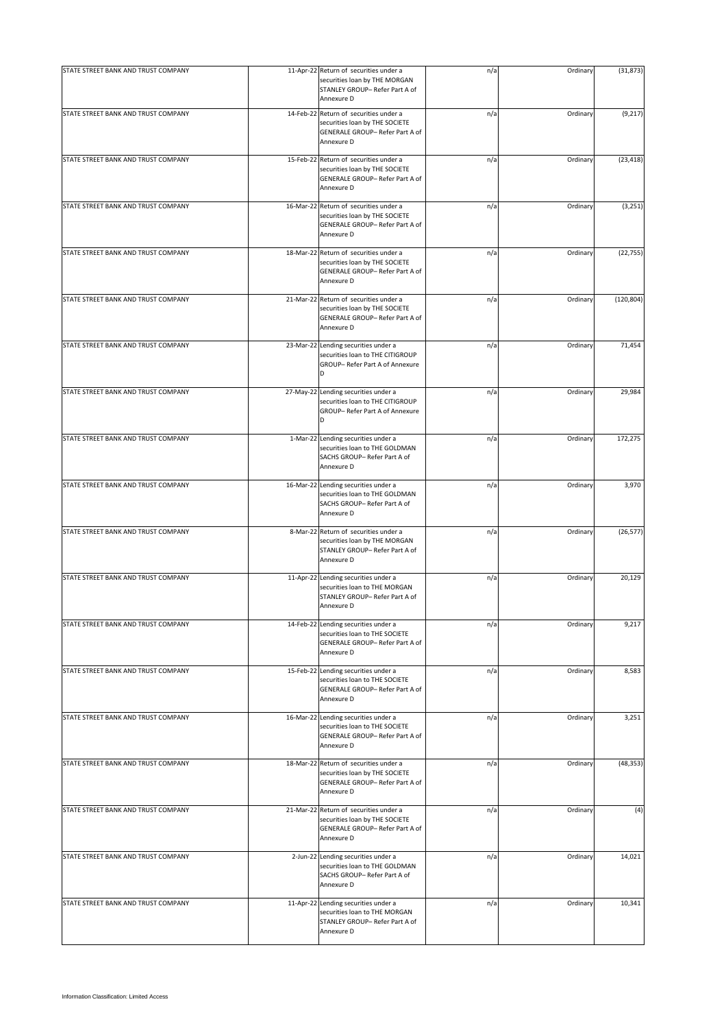| STATE STREET BANK AND TRUST COMPANY | 11-Apr-22 Return of securities under a                                                                                    |     | Ordinary | (31, 873)  |
|-------------------------------------|---------------------------------------------------------------------------------------------------------------------------|-----|----------|------------|
|                                     | securities loan by THE MORGAN<br>STANLEY GROUP- Refer Part A of<br>Annexure D                                             | n/a |          |            |
| STATE STREET BANK AND TRUST COMPANY | 14-Feb-22 Return of securities under a<br>securities loan by THE SOCIETE<br>GENERALE GROUP- Refer Part A of<br>Annexure D | n/a | Ordinary | (9, 217)   |
| STATE STREET BANK AND TRUST COMPANY | 15-Feb-22 Return of securities under a<br>securities loan by THE SOCIETE<br>GENERALE GROUP- Refer Part A of<br>Annexure D | n/a | Ordinary | (23, 418)  |
| STATE STREET BANK AND TRUST COMPANY | 16-Mar-22 Return of securities under a<br>securities loan by THE SOCIETE<br>GENERALE GROUP- Refer Part A of<br>Annexure D | n/a | Ordinary | (3, 251)   |
| STATE STREET BANK AND TRUST COMPANY | 18-Mar-22 Return of securities under a<br>securities loan by THE SOCIETE<br>GENERALE GROUP- Refer Part A of<br>Annexure D | n/a | Ordinary | (22, 755)  |
| STATE STREET BANK AND TRUST COMPANY | 21-Mar-22 Return of securities under a<br>securities loan by THE SOCIETE<br>GENERALE GROUP- Refer Part A of<br>Annexure D | n/a | Ordinary | (120, 804) |
| STATE STREET BANK AND TRUST COMPANY | 23-Mar-22 Lending securities under a<br>securities loan to THE CITIGROUP<br>GROUP- Refer Part A of Annexure<br>D          | n/a | Ordinary | 71,454     |
| STATE STREET BANK AND TRUST COMPANY | 27-May-22 Lending securities under a<br>securities loan to THE CITIGROUP<br>GROUP- Refer Part A of Annexure<br>D          | n/a | Ordinary | 29,984     |
| STATE STREET BANK AND TRUST COMPANY | 1-Mar-22 Lending securities under a<br>securities loan to THE GOLDMAN<br>SACHS GROUP- Refer Part A of<br>Annexure D       | n/a | Ordinary | 172,275    |
| STATE STREET BANK AND TRUST COMPANY | 16-Mar-22 Lending securities under a<br>securities loan to THE GOLDMAN<br>SACHS GROUP- Refer Part A of<br>Annexure D      | n/a | Ordinary | 3,970      |
| STATE STREET BANK AND TRUST COMPANY | 8-Mar-22 Return of securities under a<br>securities loan by THE MORGAN<br>STANLEY GROUP- Refer Part A of<br>Annexure D    | n/a | Ordinary | (26, 577)  |
| STATE STREET BANK AND TRUST COMPANY | 11-Apr-22 Lending securities under a<br>securities loan to THE MORGAN<br>STANLEY GROUP- Refer Part A of<br>Annexure D     | n/a | Ordinary | 20,129     |
| STATE STREET BANK AND TRUST COMPANY | 14-Feb-22 Lending securities under a<br>securities loan to THE SOCIETE<br>GENERALE GROUP- Refer Part A of<br>Annexure D   | n/a | Ordinary | 9,217      |
| STATE STREET BANK AND TRUST COMPANY | 15-Feb-22 Lending securities under a<br>securities loan to THE SOCIETE<br>GENERALE GROUP- Refer Part A of<br>Annexure D   | n/a | Ordinary | 8,583      |
| STATE STREET BANK AND TRUST COMPANY | 16-Mar-22 Lending securities under a<br>securities loan to THE SOCIETE<br>GENERALE GROUP- Refer Part A of<br>Annexure D   | n/a | Ordinary | 3,251      |
| STATE STREET BANK AND TRUST COMPANY | 18-Mar-22 Return of securities under a<br>securities loan by THE SOCIETE<br>GENERALE GROUP- Refer Part A of<br>Annexure D | n/a | Ordinary | (48, 353)  |
| STATE STREET BANK AND TRUST COMPANY | 21-Mar-22 Return of securities under a<br>securities loan by THE SOCIETE<br>GENERALE GROUP- Refer Part A of<br>Annexure D | n/a | Ordinary | (4)        |
| STATE STREET BANK AND TRUST COMPANY | 2-Jun-22 Lending securities under a<br>securities loan to THE GOLDMAN<br>SACHS GROUP- Refer Part A of<br>Annexure D       | n/a | Ordinary | 14,021     |
| STATE STREET BANK AND TRUST COMPANY | 11-Apr-22 Lending securities under a<br>securities loan to THE MORGAN<br>STANLEY GROUP- Refer Part A of<br>Annexure D     | n/a | Ordinary | 10,341     |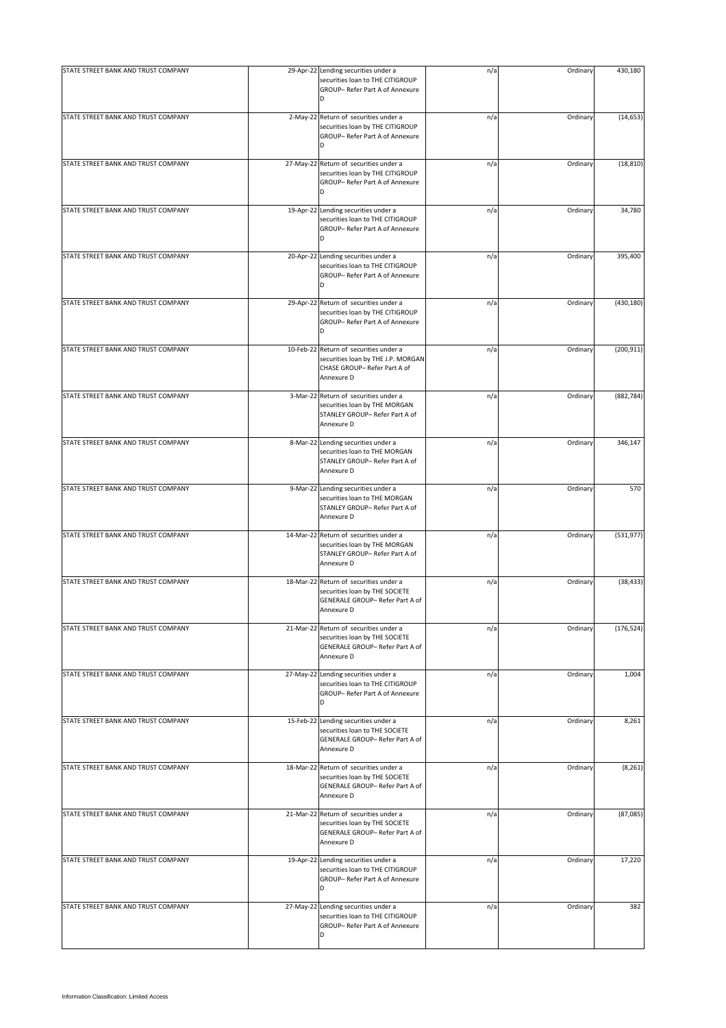| STATE STREET BANK AND TRUST COMPANY | 29-Apr-22 Lending securities under a<br>securities loan to THE CITIGROUP<br>GROUP- Refer Part A of Annexure<br>D           | n/a | Ordinary | 430,180    |
|-------------------------------------|----------------------------------------------------------------------------------------------------------------------------|-----|----------|------------|
| STATE STREET BANK AND TRUST COMPANY | 2-May-22 Return of securities under a<br>securities loan by THE CITIGROUP<br>GROUP- Refer Part A of Annexure<br>D          | n/a | Ordinary | (14, 653)  |
| STATE STREET BANK AND TRUST COMPANY | 27-May-22 Return of securities under a<br>securities loan by THE CITIGROUP<br>GROUP- Refer Part A of Annexure<br>D         | n/a | Ordinary | (18, 810)  |
| STATE STREET BANK AND TRUST COMPANY | 19-Apr-22 Lending securities under a<br>securities loan to THE CITIGROUP<br>GROUP- Refer Part A of Annexure<br>D           | n/a | Ordinary | 34,780     |
| STATE STREET BANK AND TRUST COMPANY | 20-Apr-22 Lending securities under a<br>securities loan to THE CITIGROUP<br>GROUP- Refer Part A of Annexure<br>D           | n/a | Ordinary | 395,400    |
| STATE STREET BANK AND TRUST COMPANY | 29-Apr-22 Return of securities under a<br>securities loan by THE CITIGROUP<br>GROUP- Refer Part A of Annexure<br>D         | n/a | Ordinary | (430, 180) |
| STATE STREET BANK AND TRUST COMPANY | 10-Feb-22 Return of securities under a<br>securities loan by THE J.P. MORGAN<br>CHASE GROUP- Refer Part A of<br>Annexure D | n/a | Ordinary | (200, 911) |
| STATE STREET BANK AND TRUST COMPANY | 3-Mar-22 Return of securities under a<br>securities loan by THE MORGAN<br>STANLEY GROUP- Refer Part A of<br>Annexure D     | n/a | Ordinary | (882, 784) |
| STATE STREET BANK AND TRUST COMPANY | 8-Mar-22 Lending securities under a<br>securities loan to THE MORGAN<br>STANLEY GROUP- Refer Part A of<br>Annexure D       | n/a | Ordinary | 346,147    |
| STATE STREET BANK AND TRUST COMPANY | 9-Mar-22 Lending securities under a<br>securities loan to THE MORGAN<br>STANLEY GROUP- Refer Part A of<br>Annexure D       | n/a | Ordinary | 570        |
| STATE STREET BANK AND TRUST COMPANY | 14-Mar-22 Return of securities under a<br>securities loan by THE MORGAN<br>STANLEY GROUP- Refer Part A of<br>Annexure D    | n/a | Ordinary | (531, 977) |
| STATE STREET BANK AND TRUST COMPANY | 18-Mar-22 Return of securities under a<br>securities loan by THE SOCIETE<br>GENERALE GROUP- Refer Part A of<br>Annexure D  | n/a | Ordinary | (38, 433)  |
| STATE STREET BANK AND TRUST COMPANY | 21-Mar-22 Return of securities under a<br>securities loan by THE SOCIETE<br>GENERALE GROUP- Refer Part A of<br>Annexure D  | n/a | Ordinary | (176, 524) |
| STATE STREET BANK AND TRUST COMPANY | 27-May-22 Lending securities under a<br>securities loan to THE CITIGROUP<br>GROUP- Refer Part A of Annexure<br>D           | n/a | Ordinary | 1,004      |
| STATE STREET BANK AND TRUST COMPANY | 15-Feb-22 Lending securities under a<br>securities loan to THE SOCIETE<br>GENERALE GROUP- Refer Part A of<br>Annexure D    | n/a | Ordinary | 8,261      |
| STATE STREET BANK AND TRUST COMPANY | 18-Mar-22 Return of securities under a<br>securities loan by THE SOCIETE<br>GENERALE GROUP- Refer Part A of<br>Annexure D  | n/a | Ordinary | (8, 261)   |
| STATE STREET BANK AND TRUST COMPANY | 21-Mar-22 Return of securities under a<br>securities loan by THE SOCIETE<br>GENERALE GROUP- Refer Part A of<br>Annexure D  | n/a | Ordinary | (87,085)   |
| STATE STREET BANK AND TRUST COMPANY | 19-Apr-22 Lending securities under a<br>securities loan to THE CITIGROUP<br>GROUP- Refer Part A of Annexure<br>D           | n/a | Ordinary | 17,220     |
| STATE STREET BANK AND TRUST COMPANY | 27-May-22 Lending securities under a<br>securities loan to THE CITIGROUP<br>GROUP- Refer Part A of Annexure<br>D           | n/a | Ordinary | 382        |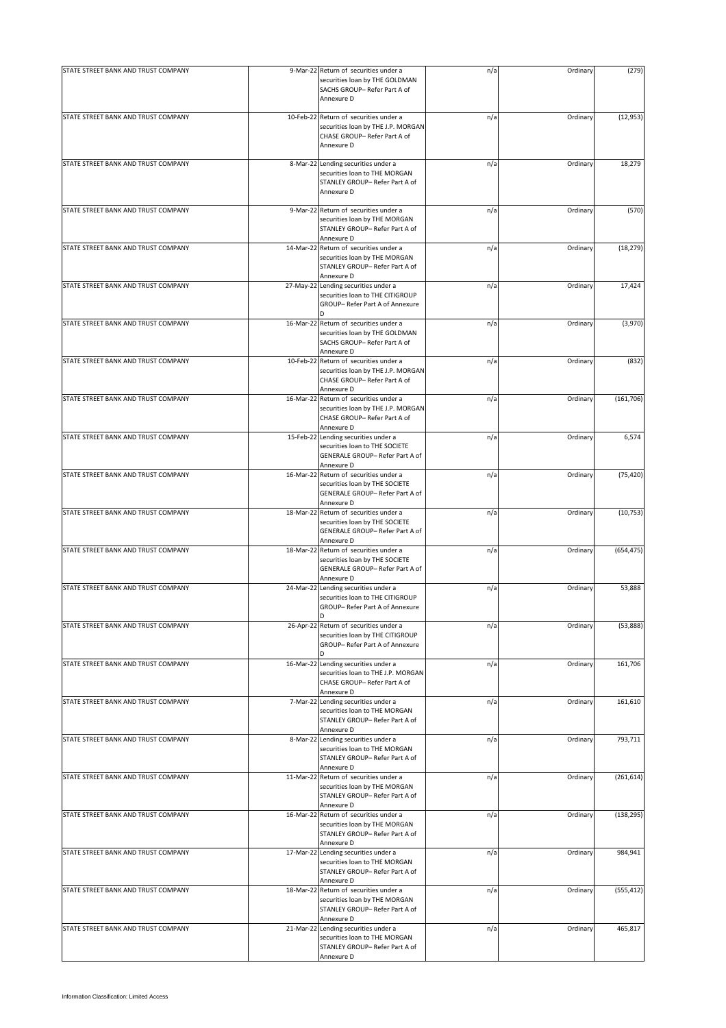| STATE STREET BANK AND TRUST COMPANY | 9-Mar-22 Return of securities under a                                                                                      | n/a | Ordinary | (279)      |
|-------------------------------------|----------------------------------------------------------------------------------------------------------------------------|-----|----------|------------|
|                                     | securities loan by THE GOLDMAN<br>SACHS GROUP- Refer Part A of<br>Annexure D                                               |     |          |            |
| STATE STREET BANK AND TRUST COMPANY | 10-Feb-22 Return of securities under a<br>securities loan by THE J.P. MORGAN<br>CHASE GROUP- Refer Part A of<br>Annexure D | n/a | Ordinary | (12, 953)  |
| STATE STREET BANK AND TRUST COMPANY | 8-Mar-22 Lending securities under a<br>securities loan to THE MORGAN<br>STANLEY GROUP- Refer Part A of<br>Annexure D       | n/a | Ordinary | 18,279     |
| STATE STREET BANK AND TRUST COMPANY | 9-Mar-22 Return of securities under a<br>securities loan by THE MORGAN<br>STANLEY GROUP- Refer Part A of<br>Annexure D     | n/a | Ordinary | (570)      |
| STATE STREET BANK AND TRUST COMPANY | 14-Mar-22 Return of securities under a<br>securities loan by THE MORGAN<br>STANLEY GROUP- Refer Part A of<br>Annexure D    | n/a | Ordinary | (18, 279)  |
| STATE STREET BANK AND TRUST COMPANY | 27-May-22 Lending securities under a<br>securities loan to THE CITIGROUP<br>GROUP- Refer Part A of Annexure<br>n           | n/a | Ordinary | 17,424     |
| STATE STREET BANK AND TRUST COMPANY | 16-Mar-22 Return of securities under a<br>securities loan by THE GOLDMAN<br>SACHS GROUP- Refer Part A of<br>Annexure D     | n/a | Ordinary | (3,970)    |
| STATE STREET BANK AND TRUST COMPANY | 10-Feb-22 Return of securities under a<br>securities loan by THE J.P. MORGAN<br>CHASE GROUP- Refer Part A of<br>Annexure D | n/a | Ordinary | (832)      |
| STATE STREET BANK AND TRUST COMPANY | 16-Mar-22 Return of securities under a<br>securities loan by THE J.P. MORGAN<br>CHASE GROUP- Refer Part A of<br>Annexure D | n/a | Ordinary | (161, 706) |
| STATE STREET BANK AND TRUST COMPANY | 15-Feb-22 Lending securities under a<br>securities loan to THE SOCIETE<br>GENERALE GROUP- Refer Part A of<br>Annexure D    | n/a | Ordinary | 6,574      |
| STATE STREET BANK AND TRUST COMPANY | 16-Mar-22 Return of securities under a<br>securities loan by THE SOCIETE<br>GENERALE GROUP- Refer Part A of<br>Annexure D  | n/a | Ordinary | (75, 420)  |
| STATE STREET BANK AND TRUST COMPANY | 18-Mar-22 Return of securities under a<br>securities loan by THE SOCIETE<br>GENERALE GROUP- Refer Part A of<br>Annexure D  | n/a | Ordinary | (10, 753)  |
| STATE STREET BANK AND TRUST COMPANY | 18-Mar-22 Return of securities under a<br>securities loan by THE SOCIETE<br>GENERALE GROUP- Refer Part A of<br>Annexure D  | n/a | Ordinary | (654, 475) |
| STATE STREET BANK AND TRUST COMPANY | 24-Mar-22 Lending securities under a<br>securities loan to THE CITIGROUP<br>GROUP- Refer Part A of Annexure<br>D           | n/a | Ordinary | 53,888     |
| STATE STREET BANK AND TRUST COMPANY | 26-Apr-22 Return of securities under a<br>securities loan by THE CITIGROUP<br>GROUP- Refer Part A of Annexure              | n/a | Ordinary | (53,888)   |
| STATE STREET BANK AND TRUST COMPANY | 16-Mar-22 Lending securities under a<br>securities loan to THE J.P. MORGAN<br>CHASE GROUP- Refer Part A of<br>Annexure D   | n/a | Ordinary | 161,706    |
| STATE STREET BANK AND TRUST COMPANY | 7-Mar-22 Lending securities under a<br>securities loan to THE MORGAN<br>STANLEY GROUP- Refer Part A of<br>Annexure D       | n/a | Ordinary | 161,610    |
| STATE STREET BANK AND TRUST COMPANY | 8-Mar-22 Lending securities under a<br>securities loan to THE MORGAN<br>STANLEY GROUP- Refer Part A of<br>Annexure D       | n/a | Ordinary | 793,711    |
| STATE STREET BANK AND TRUST COMPANY | 11-Mar-22 Return of securities under a<br>securities loan by THE MORGAN<br>STANLEY GROUP- Refer Part A of<br>Annexure D    | n/a | Ordinary | (261, 614) |
| STATE STREET BANK AND TRUST COMPANY | 16-Mar-22 Return of securities under a<br>securities loan by THE MORGAN<br>STANLEY GROUP- Refer Part A of<br>Annexure D    | n/a | Ordinary | (138, 295) |
| STATE STREET BANK AND TRUST COMPANY | 17-Mar-22 Lending securities under a<br>securities loan to THE MORGAN<br>STANLEY GROUP- Refer Part A of<br>Annexure D      | n/a | Ordinary | 984,941    |
| STATE STREET BANK AND TRUST COMPANY | 18-Mar-22 Return of securities under a<br>securities loan by THE MORGAN<br>STANLEY GROUP- Refer Part A of<br>Annexure D    | n/a | Ordinary | (555, 412) |
| STATE STREET BANK AND TRUST COMPANY | 21-Mar-22 Lending securities under a<br>securities loan to THE MORGAN<br>STANLEY GROUP- Refer Part A of<br>Annexure D      | n/a | Ordinary | 465,817    |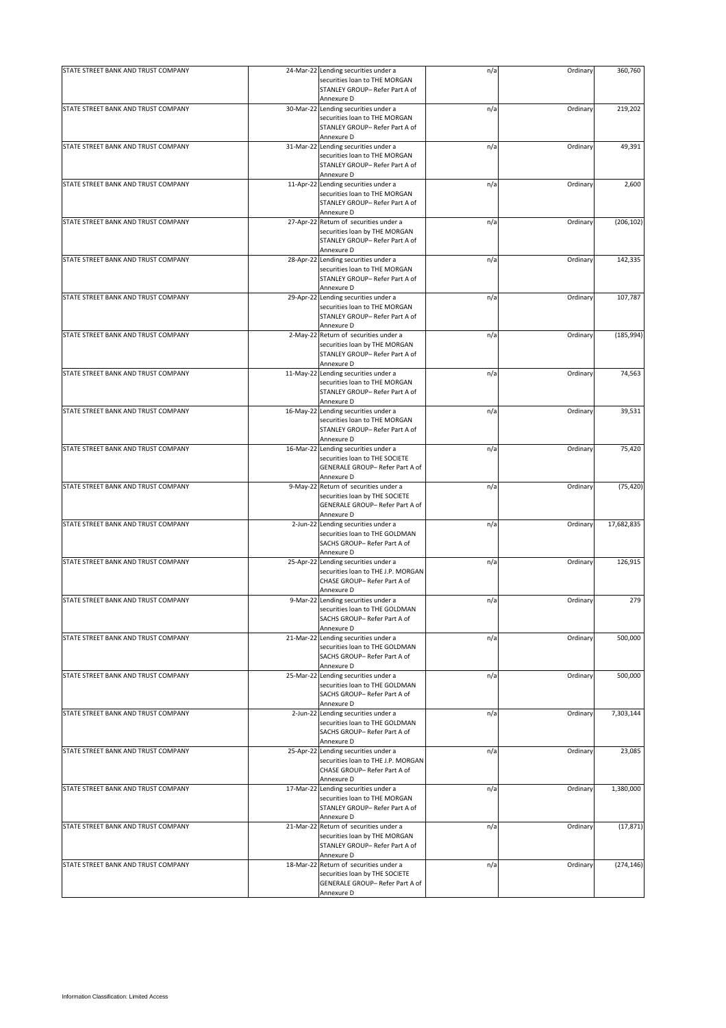| STATE STREET BANK AND TRUST COMPANY | 24-Mar-22 Lending securities under a<br>securities loan to THE MORGAN<br>STANLEY GROUP- Refer Part A of                   | n/a | Ordinary | 360,760    |
|-------------------------------------|---------------------------------------------------------------------------------------------------------------------------|-----|----------|------------|
|                                     | Annexure D                                                                                                                |     |          |            |
| STATE STREET BANK AND TRUST COMPANY | 30-Mar-22 Lending securities under a<br>securities loan to THE MORGAN<br>STANLEY GROUP- Refer Part A of<br>Annexure D     | n/a | Ordinary | 219,202    |
| STATE STREET BANK AND TRUST COMPANY | 31-Mar-22 Lending securities under a<br>securities loan to THE MORGAN<br>STANLEY GROUP- Refer Part A of<br>Annexure D     | n/a | Ordinary | 49,391     |
| STATE STREET BANK AND TRUST COMPANY | 11-Apr-22 Lending securities under a<br>securities loan to THE MORGAN<br>STANLEY GROUP- Refer Part A of<br>Annexure D     | n/a | Ordinary | 2,600      |
| STATE STREET BANK AND TRUST COMPANY | 27-Apr-22 Return of securities under a<br>securities loan by THE MORGAN<br>STANLEY GROUP- Refer Part A of<br>Annexure D   | n/a | Ordinary | (206, 102) |
| STATE STREET BANK AND TRUST COMPANY | 28-Apr-22 Lending securities under a<br>securities loan to THE MORGAN<br>STANLEY GROUP- Refer Part A of<br>Annexure D     | n/a | Ordinary | 142,335    |
| STATE STREET BANK AND TRUST COMPANY | 29-Apr-22 Lending securities under a<br>securities loan to THE MORGAN<br>STANLEY GROUP- Refer Part A of<br>Annexure D     | n/a | Ordinary | 107,787    |
| STATE STREET BANK AND TRUST COMPANY | 2-May-22 Return of securities under a<br>securities loan by THE MORGAN<br>STANLEY GROUP- Refer Part A of<br>Annexure D    | n/a | Ordinary | (185, 994) |
| STATE STREET BANK AND TRUST COMPANY | 11-May-22 Lending securities under a<br>securities loan to THE MORGAN<br>STANLEY GROUP- Refer Part A of<br>Annexure D     | n/a | Ordinary | 74,563     |
| STATE STREET BANK AND TRUST COMPANY | 16-May-22 Lending securities under a<br>securities loan to THE MORGAN<br>STANLEY GROUP- Refer Part A of<br>Annexure D     | n/a | Ordinary | 39,531     |
| STATE STREET BANK AND TRUST COMPANY | 16-Mar-22 Lending securities under a<br>securities loan to THE SOCIETE<br>GENERALE GROUP- Refer Part A of<br>Annexure D   | n/a | Ordinary | 75,420     |
| STATE STREET BANK AND TRUST COMPANY | 9-May-22 Return of securities under a<br>securities loan by THE SOCIETE<br>GENERALE GROUP- Refer Part A of<br>Annexure D  | n/a | Ordinary | (75, 420)  |
| STATE STREET BANK AND TRUST COMPANY | 2-Jun-22 Lending securities under a<br>securities loan to THE GOLDMAN<br>SACHS GROUP- Refer Part A of<br>Annexure D       | n/a | Ordinary | 17,682,835 |
| STATE STREET BANK AND TRUST COMPANY | 25-Apr-22 Lending securities under a<br>securities loan to THE J.P. MORGAN<br>CHASE GROUP- Refer Part A of<br>Annexure D  | n/a | Ordinary | 126,915    |
| STATE STREET BANK AND TRUST COMPANY | 9-Mar-22 Lending securities under a<br>securities loan to THE GOLDMAN<br>SACHS GROUP- Refer Part A of<br>Annexure D       | n/a | Ordinary | 279        |
| STATE STREET BANK AND TRUST COMPANY | 21-Mar-22 Lending securities under a<br>securities loan to THE GOLDMAN<br>SACHS GROUP- Refer Part A of<br>Annexure D      | n/a | Ordinary | 500,000    |
| STATE STREET BANK AND TRUST COMPANY | 25-Mar-22 Lending securities under a<br>securities loan to THE GOLDMAN<br>SACHS GROUP- Refer Part A of<br>Annexure D      | n/a | Ordinary | 500,000    |
| STATE STREET BANK AND TRUST COMPANY | 2-Jun-22 Lending securities under a<br>securities loan to THE GOLDMAN<br>SACHS GROUP- Refer Part A of<br>Annexure D       | n/a | Ordinary | 7,303,144  |
| STATE STREET BANK AND TRUST COMPANY | 25-Apr-22 Lending securities under a<br>securities loan to THE J.P. MORGAN<br>CHASE GROUP- Refer Part A of<br>Annexure D  | n/a | Ordinary | 23,085     |
| STATE STREET BANK AND TRUST COMPANY | 17-Mar-22 Lending securities under a<br>securities loan to THE MORGAN<br>STANLEY GROUP- Refer Part A of<br>Annexure D     | n/a | Ordinary | 1,380,000  |
| STATE STREET BANK AND TRUST COMPANY | 21-Mar-22 Return of securities under a<br>securities loan by THE MORGAN<br>STANLEY GROUP- Refer Part A of<br>Annexure D   | n/a | Ordinary | (17, 871)  |
| STATE STREET BANK AND TRUST COMPANY | 18-Mar-22 Return of securities under a<br>securities loan by THE SOCIETE<br>GENERALE GROUP- Refer Part A of<br>Annexure D | n/a | Ordinary | (274, 146) |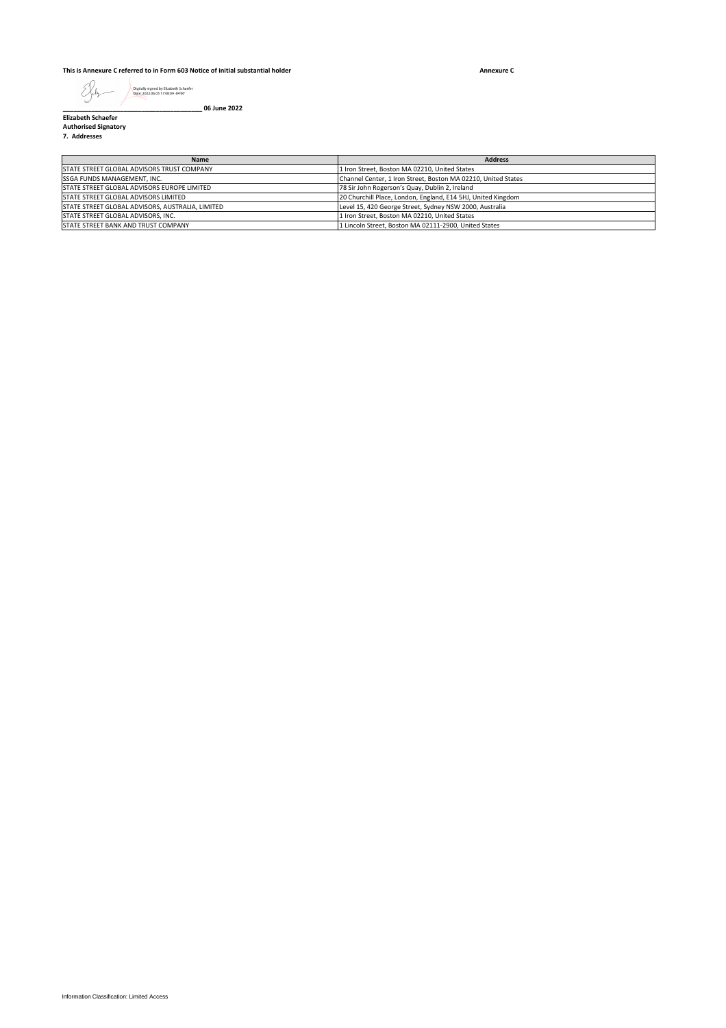### **This is Annexure C referred to in Form 603 Notice of initial substantial holder**

**Annexure C**

Digitally signed by Elizabeth Schaefer Date: 2022.06.05 17:08:09 -04'00'

**\_\_\_\_\_\_\_\_\_\_\_\_\_\_\_\_\_\_\_\_\_\_\_\_\_\_\_\_\_\_\_\_\_\_\_\_\_\_\_ 06 June 2022**

**Elizabeth Schaefer Authorised Signatory 7. Addresses**

| Name                                             | <b>Address</b>                                                |
|--------------------------------------------------|---------------------------------------------------------------|
| STATE STREET GLOBAL ADVISORS TRUST COMPANY       | 1 Iron Street, Boston MA 02210, United States                 |
| <b>SSGA FUNDS MANAGEMENT. INC.</b>               | Channel Center, 1 Iron Street, Boston MA 02210, United States |
| STATE STREET GLOBAL ADVISORS EUROPE LIMITED      | 78 Sir John Rogerson's Quay, Dublin 2, Ireland                |
| STATE STREET GLOBAL ADVISORS LIMITED             | 20 Churchill Place, London, England, E14 5HJ, United Kingdom  |
| STATE STREET GLOBAL ADVISORS, AUSTRALIA, LIMITED | Level 15, 420 George Street, Sydney NSW 2000, Australia       |
| STATE STREET GLOBAL ADVISORS. INC.               | 1 Iron Street, Boston MA 02210, United States                 |
| STATE STREET BANK AND TRUST COMPANY              | 1 Lincoln Street. Boston MA 02111-2900. United States         |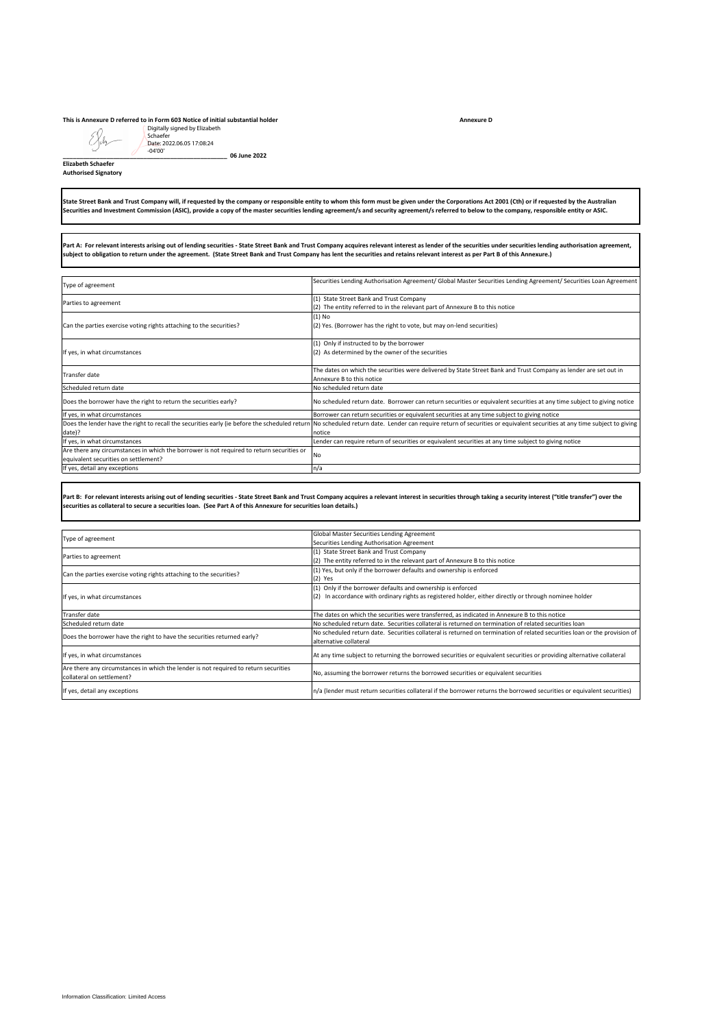## **This is Annexure D referred to in Form 603 Notice of initial substantial holder**

| Digitally signed by Elizabeth<br>Schaefer<br>Date: 2022.06.05 17:08:24<br>$-04'00'$<br>06 June 2022<br><b>Elizabeth Schaefer</b><br><b>Authorised Signatory</b>                                                                                                                                                                                                                                     |                                                                                                                                                                                                                                    |  |
|-----------------------------------------------------------------------------------------------------------------------------------------------------------------------------------------------------------------------------------------------------------------------------------------------------------------------------------------------------------------------------------------------------|------------------------------------------------------------------------------------------------------------------------------------------------------------------------------------------------------------------------------------|--|
|                                                                                                                                                                                                                                                                                                                                                                                                     |                                                                                                                                                                                                                                    |  |
| Part A: For relevant interests arising out of lending securities - State Street Bank and Trust Company acquires relevant interest as lender of the securities under securities lending authorisation agreement,<br>subject to obligation to return under the agreement. (State Street Bank and Trust Company has lent the securities and retains relevant interest as per Part B of this Annexure.) |                                                                                                                                                                                                                                    |  |
| Type of agreement                                                                                                                                                                                                                                                                                                                                                                                   | Securities Lending Authorisation Agreement/ Global Master Securities Lending Agreement/ Securities Loan Agreement                                                                                                                  |  |
| Parties to agreement                                                                                                                                                                                                                                                                                                                                                                                | (1) State Street Bank and Trust Company<br>(2) The entity referred to in the relevant part of Annexure B to this notice                                                                                                            |  |
| Can the parties exercise voting rights attaching to the securities?                                                                                                                                                                                                                                                                                                                                 | $(1)$ No<br>(2) Yes. (Borrower has the right to vote, but may on-lend securities)                                                                                                                                                  |  |
| If yes, in what circumstances                                                                                                                                                                                                                                                                                                                                                                       | (1) Only if instructed to by the borrower<br>(2) As determined by the owner of the securities                                                                                                                                      |  |
| Transfer date                                                                                                                                                                                                                                                                                                                                                                                       | The dates on which the securities were delivered by State Street Bank and Trust Company as lender are set out in<br>Annexure B to this notice                                                                                      |  |
| Scheduled return date                                                                                                                                                                                                                                                                                                                                                                               | No scheduled return date                                                                                                                                                                                                           |  |
| Does the borrower have the right to return the securities early?<br>If yes, in what circumstances                                                                                                                                                                                                                                                                                                   | No scheduled return date. Borrower can return securities or equivalent securities at any time subject to giving notice<br>Borrower can return securities or equivalent securities at any time subject to giving notice             |  |
| Does the lender have the right to recall the securities early (ie before the scheduled return                                                                                                                                                                                                                                                                                                       | No scheduled return date. Lender can require return of securities or equivalent securities at any time subject to giving                                                                                                           |  |
| date)?<br>If yes, in what circumstances                                                                                                                                                                                                                                                                                                                                                             | notice<br>Lender can require return of securities or equivalent securities at any time subject to giving notice                                                                                                                    |  |
| Are there any circumstances in which the borrower is not required to return securities or                                                                                                                                                                                                                                                                                                           | No                                                                                                                                                                                                                                 |  |
| equivalent securities on settlement?<br>If yes, detail any exceptions                                                                                                                                                                                                                                                                                                                               | n/a                                                                                                                                                                                                                                |  |
| securities as collateral to secure a securities Ioan. (See Part A of this Annexure for securities Ioan details.)                                                                                                                                                                                                                                                                                    | Part B: For relevant interests arising out of lending securities - State Street Bank and Trust Company acquires a relevant interest in securities through taking a security interest ("title transfer") over the                   |  |
| Type of agreement                                                                                                                                                                                                                                                                                                                                                                                   | Global Master Securities Lending Agreement<br>Securities Lending Authorisation Agreement                                                                                                                                           |  |
| Parties to agreement                                                                                                                                                                                                                                                                                                                                                                                | (1) State Street Bank and Trust Company<br>(2) The entity referred to in the relevant part of Annexure B to this notice                                                                                                            |  |
| Can the parties exercise voting rights attaching to the securities?                                                                                                                                                                                                                                                                                                                                 | (1) Yes, but only if the borrower defaults and ownership is enforced<br>$(2)$ Yes                                                                                                                                                  |  |
| If yes, in what circumstances                                                                                                                                                                                                                                                                                                                                                                       | (1) Only if the borrower defaults and ownership is enforced<br>(2) In accordance with ordinary rights as registered holder, either directly or through nominee holder                                                              |  |
| Transfer date                                                                                                                                                                                                                                                                                                                                                                                       | The dates on which the securities were transferred, as indicated in Annexure B to this notice                                                                                                                                      |  |
| Scheduled return date                                                                                                                                                                                                                                                                                                                                                                               | No scheduled return date. Securities collateral is returned on termination of related securities loan<br>No scheduled return date. Securities collateral is returned on termination of related securities loan or the provision of |  |
| Does the borrower have the right to have the securities returned early?                                                                                                                                                                                                                                                                                                                             | alternative collateral                                                                                                                                                                                                             |  |
| If yes, in what circumstances                                                                                                                                                                                                                                                                                                                                                                       | At any time subject to returning the borrowed securities or equivalent securities or providing alternative collateral                                                                                                              |  |
| Are there any circumstances in which the lender is not required to return securities<br>collateral on settlement?                                                                                                                                                                                                                                                                                   | No, assuming the borrower returns the borrowed securities or equivalent securities                                                                                                                                                 |  |
| If yes, detail any exceptions                                                                                                                                                                                                                                                                                                                                                                       | n/a (lender must return securities collateral if the borrower returns the borrowed securities or equivalent securities)                                                                                                            |  |
|                                                                                                                                                                                                                                                                                                                                                                                                     |                                                                                                                                                                                                                                    |  |
| Information Classification: Limited Access                                                                                                                                                                                                                                                                                                                                                          |                                                                                                                                                                                                                                    |  |

|                                                                                      | Global Master Securities Lending Agreement                                                                                |
|--------------------------------------------------------------------------------------|---------------------------------------------------------------------------------------------------------------------------|
| Type of agreement                                                                    | Securities Lending Authorisation Agreement                                                                                |
| Parties to agreement                                                                 | (1) State Street Bank and Trust Company                                                                                   |
|                                                                                      | (2) The entity referred to in the relevant part of Annexure B to this notice                                              |
| Can the parties exercise voting rights attaching to the securities?                  | (1) Yes, but only if the borrower defaults and ownership is enforced                                                      |
|                                                                                      | $(2)$ Yes                                                                                                                 |
| If yes, in what circumstances                                                        | (1) Only if the borrower defaults and ownership is enforced                                                               |
|                                                                                      | (2) In accordance with ordinary rights as registered holder, either directly or through nominee holder                    |
|                                                                                      |                                                                                                                           |
| Transfer date                                                                        | The dates on which the securities were transferred, as indicated in Annexure B to this notice                             |
| Scheduled return date                                                                | No scheduled return date. Securities collateral is returned on termination of related securities loan                     |
| Does the borrower have the right to have the securities returned early?              | No scheduled return date. Securities collateral is returned on termination of related securities loan or the provision of |
|                                                                                      | alternative collateral                                                                                                    |
| If yes, in what circumstances                                                        | At any time subject to returning the borrowed securities or equivalent securities or providing alternative collateral     |
| Are there any circumstances in which the lender is not required to return securities | No, assuming the borrower returns the borrowed securities or equivalent securities                                        |
| collateral on settlement?                                                            |                                                                                                                           |
| If yes, detail any exceptions                                                        | n/a (lender must return securities collateral if the borrower returns the borrowed securities or equivalent securities)   |

**Annexure D**